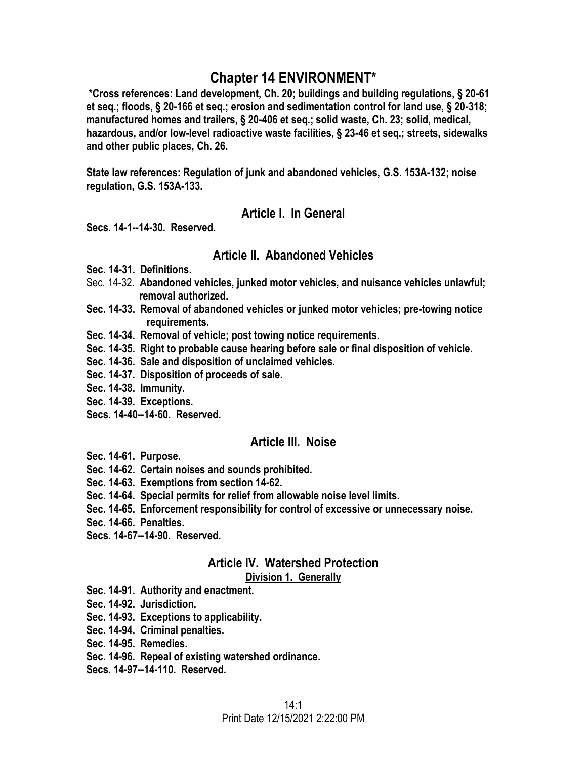# **Chapter 14 ENVIRONMENT\***

**\*Cross references: Land development, Ch. 20; buildings and building regulations, § 20-61 et seq.; floods, § 20-166 et seq.; erosion and sedimentation control for land use, § 20-318; manufactured homes and trailers, § 20-406 et seq.; solid waste, Ch. 23; solid, medical, hazardous, and/or low-level radioactive waste facilities, § 23-46 et seq.; streets, sidewalks and other public places, Ch. 26.** 

**State law references: Regulation of junk and abandoned vehicles, G.S. 153A-132; noise regulation, G.S. 153A-133.** 

# **Article I. In General**

**Secs. 14-1--14-30. Reserved.** 

# **Article II. Abandoned Vehicles**

- **Sec. 14-31. Definitions.**
- Sec. 14-32. **Abandoned vehicles, junked motor vehicles, and nuisance vehicles unlawful; removal authorized.**
- **Sec. 14-33. Removal of abandoned vehicles or junked motor vehicles; pre-towing notice requirements.**
- **Sec. 14-34. Removal of vehicle; post towing notice requirements.**
- **Sec. 14-35. Right to probable cause hearing before sale or final disposition of vehicle.**
- **Sec. 14-36. Sale and disposition of unclaimed vehicles.**
- **Sec. 14-37. Disposition of proceeds of sale.**
- **Sec. 14-38. Immunity.**
- **Sec. 14-39. Exceptions.**
- **Secs. 14-40--14-60. Reserved.**

# **Article III. Noise**

- **Sec. 14-61. Purpose.**
- **Sec. 14-62. Certain noises and sounds prohibited.**
- **Sec. 14-63. Exemptions from section 14-62.**
- **Sec. 14-64. Special permits for relief from allowable noise level limits.**
- **Sec. 14-65. Enforcement responsibility for control of excessive or unnecessary noise.**
- **Sec. 14-66. Penalties.**
- **Secs. 14-67--14-90. Reserved.**

# **Article IV. Watershed Protection**

#### **Division 1. Generally**

- **Sec. 14-91. Authority and enactment.**
- **Sec. 14-92. Jurisdiction.**
- **Sec. 14-93. Exceptions to applicability.**
- **Sec. 14-94. Criminal penalties.**
- **Sec. 14-95. Remedies.**
- **Sec. 14-96. Repeal of existing watershed ordinance.**
- **Secs. 14-97--14-110. Reserved.**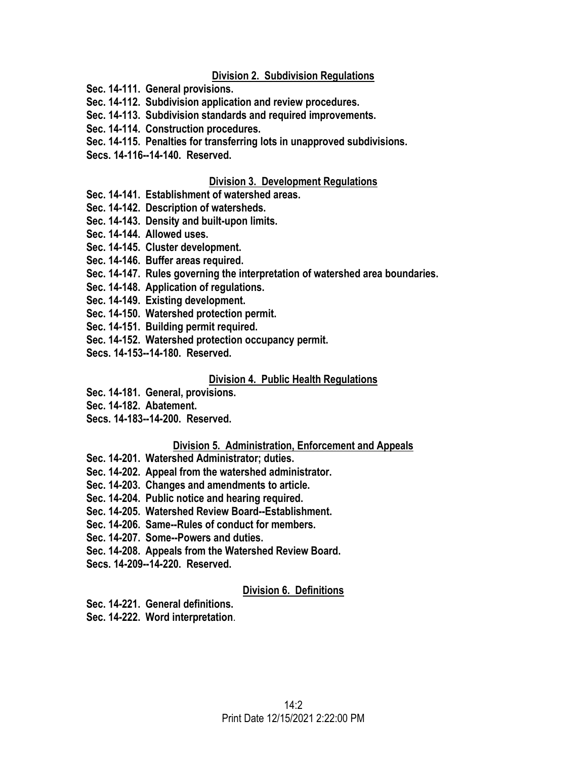#### **Division 2. Subdivision Regulations**

- **Sec. 14-111. General provisions.**
- **Sec. 14-112. Subdivision application and review procedures.**
- **Sec. 14-113. Subdivision standards and required improvements.**
- **Sec. 14-114. Construction procedures.**
- **Sec. 14-115. Penalties for transferring lots in unapproved subdivisions.**
- **Secs. 14-116--14-140. Reserved.**

#### **Division 3. Development Regulations**

- **Sec. 14-141. Establishment of watershed areas.**
- **Sec. 14-142. Description of watersheds.**
- **Sec. 14-143. Density and built-upon limits.**
- **Sec. 14-144. Allowed uses.**
- **Sec. 14-145. Cluster development.**
- **Sec. 14-146. Buffer areas required.**
- **Sec. 14-147. Rules governing the interpretation of watershed area boundaries.**
- **Sec. 14-148. Application of regulations.**
- **Sec. 14-149. Existing development.**
- **Sec. 14-150. Watershed protection permit.**
- **Sec. 14-151. Building permit required.**
- **Sec. 14-152. Watershed protection occupancy permit.**
- **Secs. 14-153--14-180. Reserved.**

#### **Division 4. Public Health Regulations**

- **Sec. 14-181. General, provisions.**
- **Sec. 14-182. Abatement.**
- **Secs. 14-183--14-200. Reserved.**

#### **Division 5. Administration, Enforcement and Appeals**

- **Sec. 14-201. Watershed Administrator; duties.**
- **Sec. 14-202. Appeal from the watershed administrator.**
- **Sec. 14-203. Changes and amendments to article.**
- **Sec. 14-204. Public notice and hearing required.**
- **Sec. 14-205. Watershed Review Board--Establishment.**
- **Sec. 14-206. Same--Rules of conduct for members.**
- **Sec. 14-207. Some--Powers and duties.**
- **Sec. 14-208. Appeals from the Watershed Review Board.**
- **Secs. 14-209--14-220. Reserved.**

#### **Division 6. Definitions**

- **Sec. 14-221. General definitions.**
- **Sec. 14-222. Word interpretation**.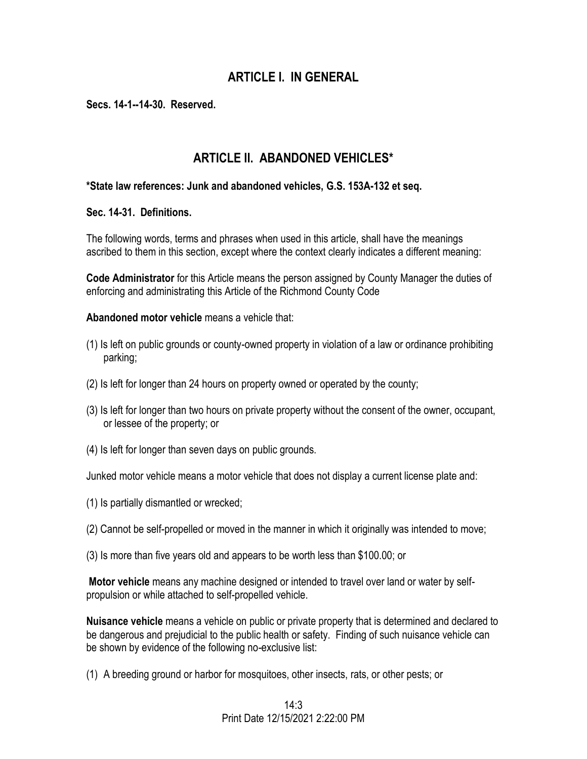# **ARTICLE I. IN GENERAL**

**Secs. 14-1--14-30. Reserved.** 

# **ARTICLE II. ABANDONED VEHICLES\***

#### **\*State law references: Junk and abandoned vehicles, G.S. 153A-132 et seq.**

**Sec. 14-31. Definitions.** 

The following words, terms and phrases when used in this article, shall have the meanings ascribed to them in this section, except where the context clearly indicates a different meaning:

**Code Administrator** for this Article means the person assigned by County Manager the duties of enforcing and administrating this Article of the Richmond County Code

**Abandoned motor vehicle** means a vehicle that:

- (1) Is left on public grounds or county-owned property in violation of a law or ordinance prohibiting parking;
- (2) Is left for longer than 24 hours on property owned or operated by the county;
- (3) Is left for longer than two hours on private property without the consent of the owner, occupant, or lessee of the property; or
- (4) Is left for longer than seven days on public grounds.

Junked motor vehicle means a motor vehicle that does not display a current license plate and:

- (1) Is partially dismantled or wrecked;
- (2) Cannot be self-propelled or moved in the manner in which it originally was intended to move;
- (3) Is more than five years old and appears to be worth less than \$100.00; or

**Motor vehicle** means any machine designed or intended to travel over land or water by selfpropulsion or while attached to self-propelled vehicle.

**Nuisance vehicle** means a vehicle on public or private property that is determined and declared to be dangerous and prejudicial to the public health or safety. Finding of such nuisance vehicle can be shown by evidence of the following no-exclusive list:

(1) A breeding ground or harbor for mosquitoes, other insects, rats, or other pests; or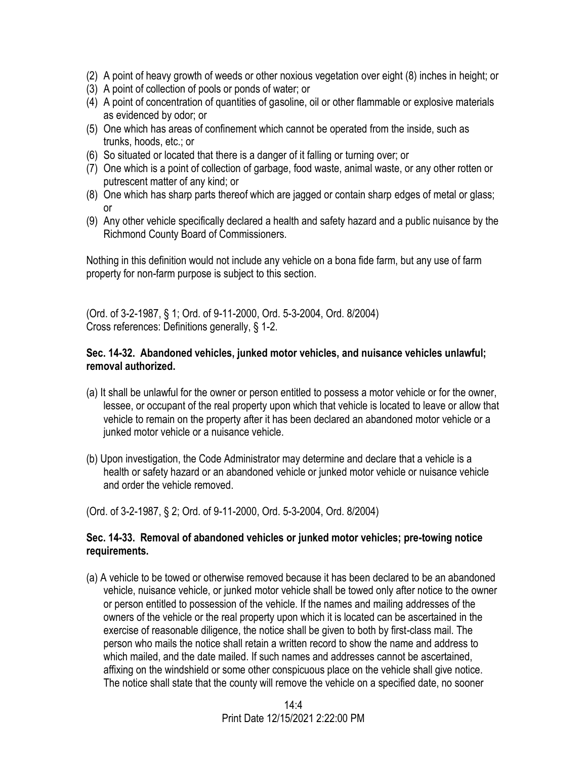- (2) A point of heavy growth of weeds or other noxious vegetation over eight (8) inches in height; or
- (3) A point of collection of pools or ponds of water; or
- (4) A point of concentration of quantities of gasoline, oil or other flammable or explosive materials as evidenced by odor; or
- (5) One which has areas of confinement which cannot be operated from the inside, such as trunks, hoods, etc.; or
- (6) So situated or located that there is a danger of it falling or turning over; or
- (7) One which is a point of collection of garbage, food waste, animal waste, or any other rotten or putrescent matter of any kind; or
- (8) One which has sharp parts thereof which are jagged or contain sharp edges of metal or glass; or
- (9) Any other vehicle specifically declared a health and safety hazard and a public nuisance by the Richmond County Board of Commissioners.

Nothing in this definition would not include any vehicle on a bona fide farm, but any use of farm property for non-farm purpose is subject to this section.

(Ord. of 3-2-1987, § 1; Ord. of 9-11-2000, Ord. 5-3-2004, Ord. 8/2004) Cross references: Definitions generally, § 1-2.

#### **Sec. 14-32. Abandoned vehicles, junked motor vehicles, and nuisance vehicles unlawful; removal authorized.**

- (a) It shall be unlawful for the owner or person entitled to possess a motor vehicle or for the owner, lessee, or occupant of the real property upon which that vehicle is located to leave or allow that vehicle to remain on the property after it has been declared an abandoned motor vehicle or a junked motor vehicle or a nuisance vehicle.
- (b) Upon investigation, the Code Administrator may determine and declare that a vehicle is a health or safety hazard or an abandoned vehicle or junked motor vehicle or nuisance vehicle and order the vehicle removed.

(Ord. of 3-2-1987, § 2; Ord. of 9-11-2000, Ord. 5-3-2004, Ord. 8/2004)

#### **Sec. 14-33. Removal of abandoned vehicles or junked motor vehicles; pre-towing notice requirements.**

(a) A vehicle to be towed or otherwise removed because it has been declared to be an abandoned vehicle, nuisance vehicle, or junked motor vehicle shall be towed only after notice to the owner or person entitled to possession of the vehicle. If the names and mailing addresses of the owners of the vehicle or the real property upon which it is located can be ascertained in the exercise of reasonable diligence, the notice shall be given to both by first-class mail. The person who mails the notice shall retain a written record to show the name and address to which mailed, and the date mailed. If such names and addresses cannot be ascertained, affixing on the windshield or some other conspicuous place on the vehicle shall give notice. The notice shall state that the county will remove the vehicle on a specified date, no sooner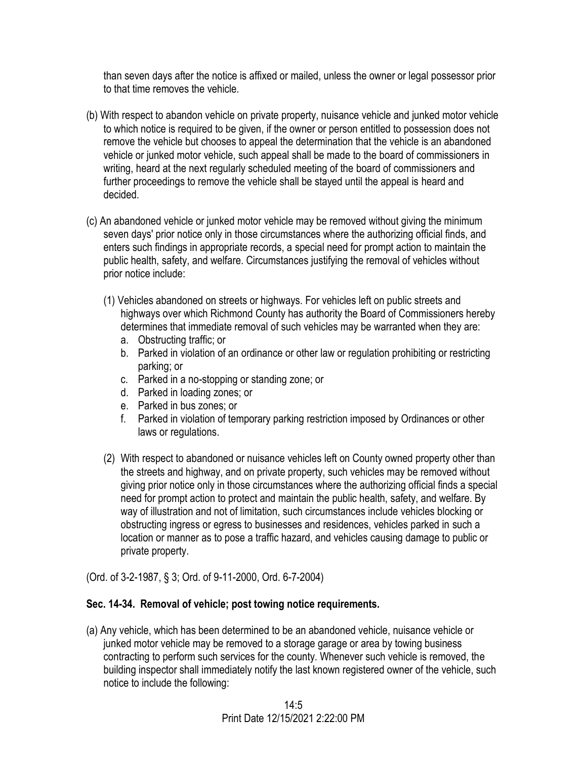than seven days after the notice is affixed or mailed, unless the owner or legal possessor prior to that time removes the vehicle.

- (b) With respect to abandon vehicle on private property, nuisance vehicle and junked motor vehicle to which notice is required to be given, if the owner or person entitled to possession does not remove the vehicle but chooses to appeal the determination that the vehicle is an abandoned vehicle or junked motor vehicle, such appeal shall be made to the board of commissioners in writing, heard at the next regularly scheduled meeting of the board of commissioners and further proceedings to remove the vehicle shall be stayed until the appeal is heard and decided.
- (c) An abandoned vehicle or junked motor vehicle may be removed without giving the minimum seven days' prior notice only in those circumstances where the authorizing official finds, and enters such findings in appropriate records, a special need for prompt action to maintain the public health, safety, and welfare. Circumstances justifying the removal of vehicles without prior notice include:
	- (1) Vehicles abandoned on streets or highways. For vehicles left on public streets and highways over which Richmond County has authority the Board of Commissioners hereby determines that immediate removal of such vehicles may be warranted when they are:
		- a. Obstructing traffic; or
		- b. Parked in violation of an ordinance or other law or regulation prohibiting or restricting parking; or
		- c. Parked in a no-stopping or standing zone; or
		- d. Parked in loading zones; or
		- e. Parked in bus zones; or
		- f. Parked in violation of temporary parking restriction imposed by Ordinances or other laws or regulations.
	- (2) With respect to abandoned or nuisance vehicles left on County owned property other than the streets and highway, and on private property, such vehicles may be removed without giving prior notice only in those circumstances where the authorizing official finds a special need for prompt action to protect and maintain the public health, safety, and welfare. By way of illustration and not of limitation, such circumstances include vehicles blocking or obstructing ingress or egress to businesses and residences, vehicles parked in such a location or manner as to pose a traffic hazard, and vehicles causing damage to public or private property.

(Ord. of 3-2-1987, § 3; Ord. of 9-11-2000, Ord. 6-7-2004)

#### **Sec. 14-34. Removal of vehicle; post towing notice requirements.**

(a) Any vehicle, which has been determined to be an abandoned vehicle, nuisance vehicle or junked motor vehicle may be removed to a storage garage or area by towing business contracting to perform such services for the county. Whenever such vehicle is removed, the building inspector shall immediately notify the last known registered owner of the vehicle, such notice to include the following: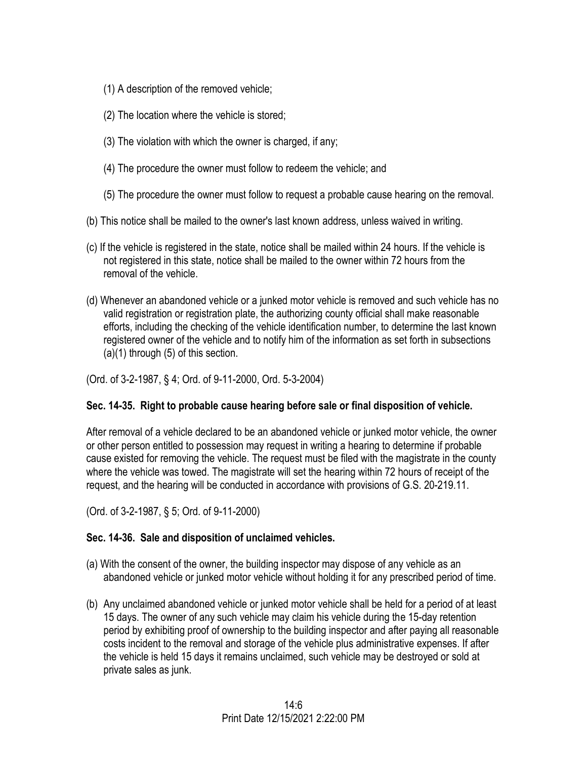- (1) A description of the removed vehicle;
- (2) The location where the vehicle is stored;
- (3) The violation with which the owner is charged, if any;
- (4) The procedure the owner must follow to redeem the vehicle; and
- (5) The procedure the owner must follow to request a probable cause hearing on the removal.
- (b) This notice shall be mailed to the owner's last known address, unless waived in writing.
- (c) If the vehicle is registered in the state, notice shall be mailed within 24 hours. If the vehicle is not registered in this state, notice shall be mailed to the owner within 72 hours from the removal of the vehicle.
- (d) Whenever an abandoned vehicle or a junked motor vehicle is removed and such vehicle has no valid registration or registration plate, the authorizing county official shall make reasonable efforts, including the checking of the vehicle identification number, to determine the last known registered owner of the vehicle and to notify him of the information as set forth in subsections (a)(1) through (5) of this section.

(Ord. of 3-2-1987, § 4; Ord. of 9-11-2000, Ord. 5-3-2004)

# **Sec. 14-35. Right to probable cause hearing before sale or final disposition of vehicle.**

After removal of a vehicle declared to be an abandoned vehicle or junked motor vehicle, the owner or other person entitled to possession may request in writing a hearing to determine if probable cause existed for removing the vehicle. The request must be filed with the magistrate in the county where the vehicle was towed. The magistrate will set the hearing within 72 hours of receipt of the request, and the hearing will be conducted in accordance with provisions of G.S. 20-219.11.

(Ord. of 3-2-1987, § 5; Ord. of 9-11-2000)

# **Sec. 14-36. Sale and disposition of unclaimed vehicles.**

- (a) With the consent of the owner, the building inspector may dispose of any vehicle as an abandoned vehicle or junked motor vehicle without holding it for any prescribed period of time.
- (b) Any unclaimed abandoned vehicle or junked motor vehicle shall be held for a period of at least 15 days. The owner of any such vehicle may claim his vehicle during the 15-day retention period by exhibiting proof of ownership to the building inspector and after paying all reasonable costs incident to the removal and storage of the vehicle plus administrative expenses. If after the vehicle is held 15 days it remains unclaimed, such vehicle may be destroyed or sold at private sales as junk.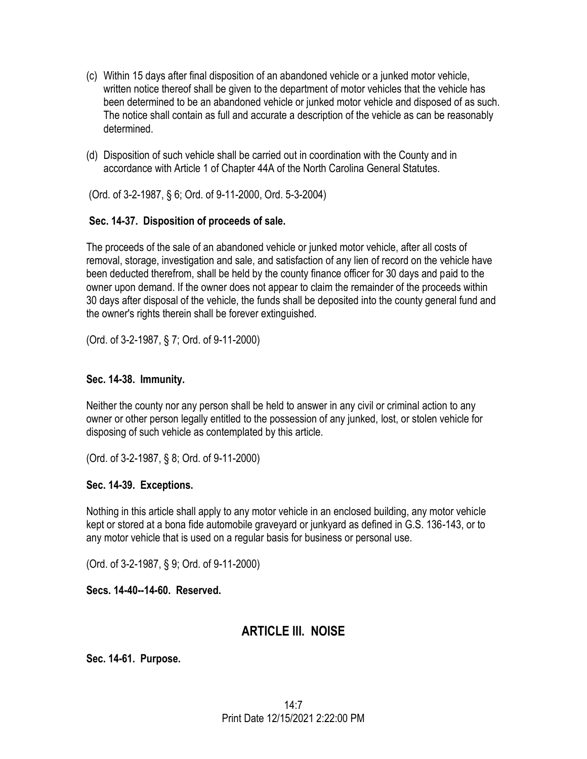- (c) Within 15 days after final disposition of an abandoned vehicle or a junked motor vehicle, written notice thereof shall be given to the department of motor vehicles that the vehicle has been determined to be an abandoned vehicle or junked motor vehicle and disposed of as such. The notice shall contain as full and accurate a description of the vehicle as can be reasonably determined.
- (d) Disposition of such vehicle shall be carried out in coordination with the County and in accordance with Article 1 of Chapter 44A of the North Carolina General Statutes.

(Ord. of 3-2-1987, § 6; Ord. of 9-11-2000, Ord. 5-3-2004)

# **Sec. 14-37. Disposition of proceeds of sale.**

The proceeds of the sale of an abandoned vehicle or junked motor vehicle, after all costs of removal, storage, investigation and sale, and satisfaction of any lien of record on the vehicle have been deducted therefrom, shall be held by the county finance officer for 30 days and paid to the owner upon demand. If the owner does not appear to claim the remainder of the proceeds within 30 days after disposal of the vehicle, the funds shall be deposited into the county general fund and the owner's rights therein shall be forever extinguished.

(Ord. of 3-2-1987, § 7; Ord. of 9-11-2000)

## **Sec. 14-38. Immunity.**

Neither the county nor any person shall be held to answer in any civil or criminal action to any owner or other person legally entitled to the possession of any junked, lost, or stolen vehicle for disposing of such vehicle as contemplated by this article.

(Ord. of 3-2-1987, § 8; Ord. of 9-11-2000)

## **Sec. 14-39. Exceptions.**

Nothing in this article shall apply to any motor vehicle in an enclosed building, any motor vehicle kept or stored at a bona fide automobile graveyard or junkyard as defined in G.S. 136-143, or to any motor vehicle that is used on a regular basis for business or personal use.

(Ord. of 3-2-1987, § 9; Ord. of 9-11-2000)

**Secs. 14-40--14-60. Reserved.** 

# **ARTICLE III. NOISE**

**Sec. 14-61. Purpose.**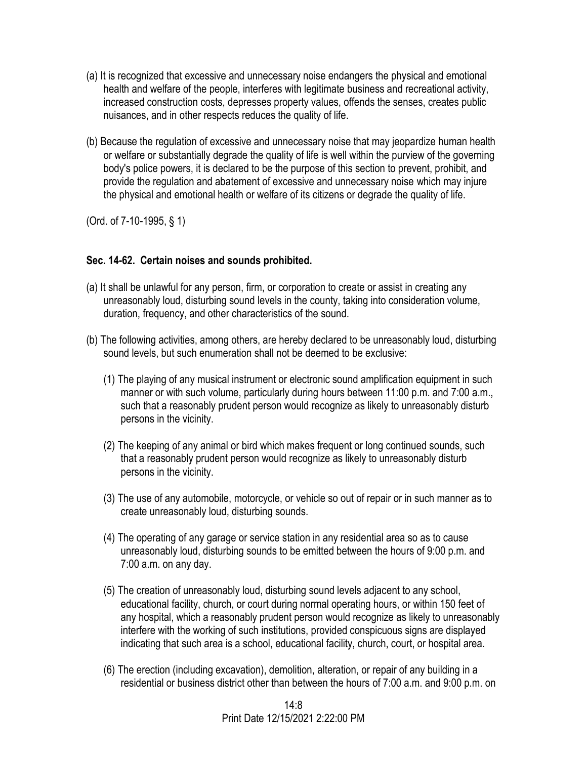- (a) It is recognized that excessive and unnecessary noise endangers the physical and emotional health and welfare of the people, interferes with legitimate business and recreational activity, increased construction costs, depresses property values, offends the senses, creates public nuisances, and in other respects reduces the quality of life.
- (b) Because the regulation of excessive and unnecessary noise that may jeopardize human health or welfare or substantially degrade the quality of life is well within the purview of the governing body's police powers, it is declared to be the purpose of this section to prevent, prohibit, and provide the regulation and abatement of excessive and unnecessary noise which may injure the physical and emotional health or welfare of its citizens or degrade the quality of life.

(Ord. of 7-10-1995, § 1)

## **Sec. 14-62. Certain noises and sounds prohibited.**

- (a) It shall be unlawful for any person, firm, or corporation to create or assist in creating any unreasonably loud, disturbing sound levels in the county, taking into consideration volume, duration, frequency, and other characteristics of the sound.
- (b) The following activities, among others, are hereby declared to be unreasonably loud, disturbing sound levels, but such enumeration shall not be deemed to be exclusive:
	- (1) The playing of any musical instrument or electronic sound amplification equipment in such manner or with such volume, particularly during hours between 11:00 p.m. and 7:00 a.m., such that a reasonably prudent person would recognize as likely to unreasonably disturb persons in the vicinity.
	- (2) The keeping of any animal or bird which makes frequent or long continued sounds, such that a reasonably prudent person would recognize as likely to unreasonably disturb persons in the vicinity.
	- (3) The use of any automobile, motorcycle, or vehicle so out of repair or in such manner as to create unreasonably loud, disturbing sounds.
	- (4) The operating of any garage or service station in any residential area so as to cause unreasonably loud, disturbing sounds to be emitted between the hours of 9:00 p.m. and 7:00 a.m. on any day.
	- (5) The creation of unreasonably loud, disturbing sound levels adjacent to any school, educational facility, church, or court during normal operating hours, or within 150 feet of any hospital, which a reasonably prudent person would recognize as likely to unreasonably interfere with the working of such institutions, provided conspicuous signs are displayed indicating that such area is a school, educational facility, church, court, or hospital area.
	- (6) The erection (including excavation), demolition, alteration, or repair of any building in a residential or business district other than between the hours of 7:00 a.m. and 9:00 p.m. on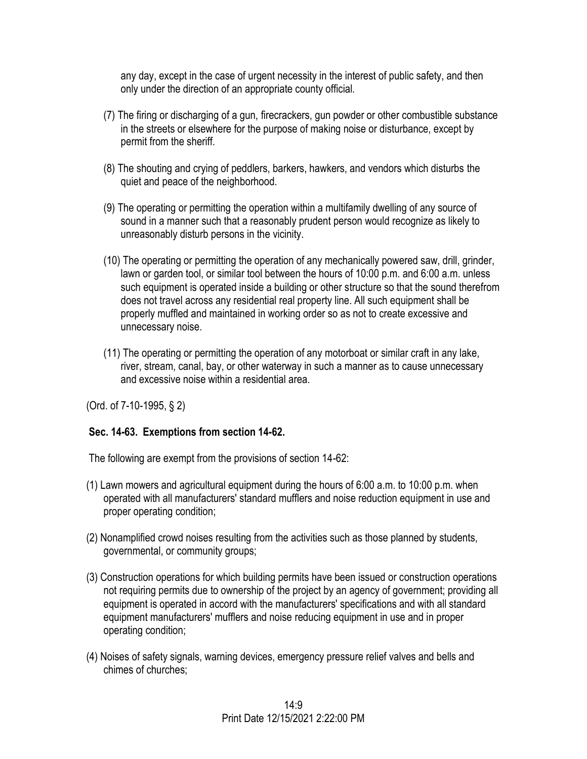any day, except in the case of urgent necessity in the interest of public safety, and then only under the direction of an appropriate county official.

- (7) The firing or discharging of a gun, firecrackers, gun powder or other combustible substance in the streets or elsewhere for the purpose of making noise or disturbance, except by permit from the sheriff.
- (8) The shouting and crying of peddlers, barkers, hawkers, and vendors which disturbs the quiet and peace of the neighborhood.
- (9) The operating or permitting the operation within a multifamily dwelling of any source of sound in a manner such that a reasonably prudent person would recognize as likely to unreasonably disturb persons in the vicinity.
- (10) The operating or permitting the operation of any mechanically powered saw, drill, grinder, lawn or garden tool, or similar tool between the hours of 10:00 p.m. and 6:00 a.m. unless such equipment is operated inside a building or other structure so that the sound therefrom does not travel across any residential real property line. All such equipment shall be properly muffled and maintained in working order so as not to create excessive and unnecessary noise.
- (11) The operating or permitting the operation of any motorboat or similar craft in any lake, river, stream, canal, bay, or other waterway in such a manner as to cause unnecessary and excessive noise within a residential area.

(Ord. of 7-10-1995, § 2)

## **Sec. 14-63. Exemptions from section 14-62.**

The following are exempt from the provisions of section 14-62:

- (1) Lawn mowers and agricultural equipment during the hours of 6:00 a.m. to 10:00 p.m. when operated with all manufacturers' standard mufflers and noise reduction equipment in use and proper operating condition;
- (2) Nonamplified crowd noises resulting from the activities such as those planned by students, governmental, or community groups;
- (3) Construction operations for which building permits have been issued or construction operations not requiring permits due to ownership of the project by an agency of government; providing all equipment is operated in accord with the manufacturers' specifications and with all standard equipment manufacturers' mufflers and noise reducing equipment in use and in proper operating condition;
- (4) Noises of safety signals, warning devices, emergency pressure relief valves and bells and chimes of churches;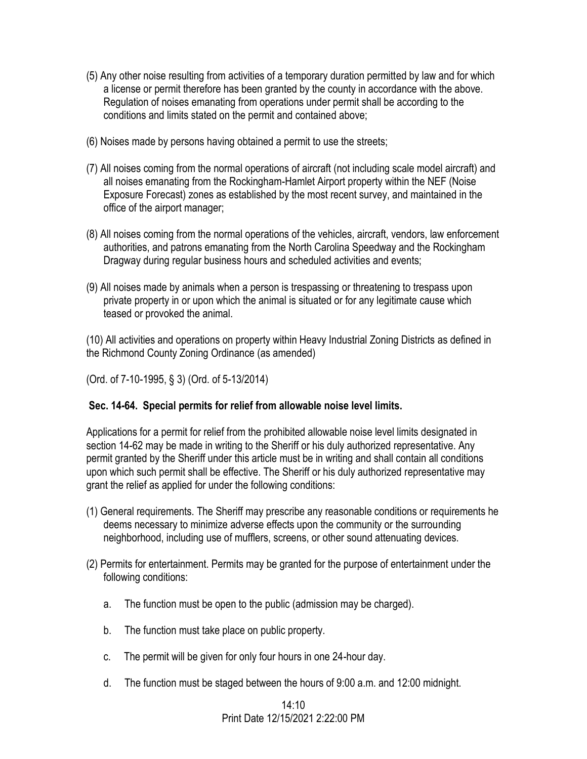- (5) Any other noise resulting from activities of a temporary duration permitted by law and for which a license or permit therefore has been granted by the county in accordance with the above. Regulation of noises emanating from operations under permit shall be according to the conditions and limits stated on the permit and contained above;
- (6) Noises made by persons having obtained a permit to use the streets;
- (7) All noises coming from the normal operations of aircraft (not including scale model aircraft) and all noises emanating from the Rockingham-Hamlet Airport property within the NEF (Noise Exposure Forecast) zones as established by the most recent survey, and maintained in the office of the airport manager;
- (8) All noises coming from the normal operations of the vehicles, aircraft, vendors, law enforcement authorities, and patrons emanating from the North Carolina Speedway and the Rockingham Dragway during regular business hours and scheduled activities and events;
- (9) All noises made by animals when a person is trespassing or threatening to trespass upon private property in or upon which the animal is situated or for any legitimate cause which teased or provoked the animal.

(10) All activities and operations on property within Heavy Industrial Zoning Districts as defined in the Richmond County Zoning Ordinance (as amended)

(Ord. of 7-10-1995, § 3) (Ord. of 5-13/2014)

## **Sec. 14-64. Special permits for relief from allowable noise level limits.**

Applications for a permit for relief from the prohibited allowable noise level limits designated in section 14-62 may be made in writing to the Sheriff or his duly authorized representative. Any permit granted by the Sheriff under this article must be in writing and shall contain all conditions upon which such permit shall be effective. The Sheriff or his duly authorized representative may grant the relief as applied for under the following conditions:

- (1) General requirements. The Sheriff may prescribe any reasonable conditions or requirements he deems necessary to minimize adverse effects upon the community or the surrounding neighborhood, including use of mufflers, screens, or other sound attenuating devices.
- (2) Permits for entertainment. Permits may be granted for the purpose of entertainment under the following conditions:
	- a. The function must be open to the public (admission may be charged).
	- b. The function must take place on public property.
	- c. The permit will be given for only four hours in one 24-hour day.
	- d. The function must be staged between the hours of 9:00 a.m. and 12:00 midnight.

#### $14:10$ Print Date 12/15/2021 2:22:00 PM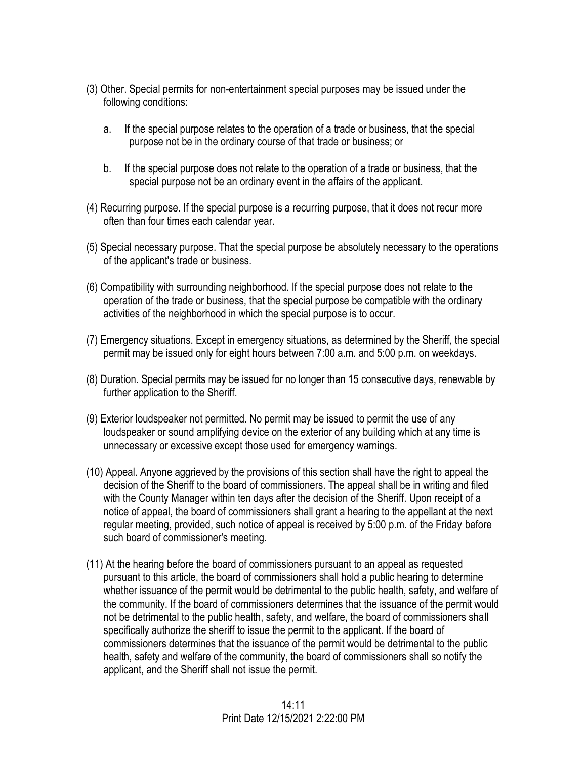- (3) Other. Special permits for non-entertainment special purposes may be issued under the following conditions:
	- a. If the special purpose relates to the operation of a trade or business, that the special purpose not be in the ordinary course of that trade or business; or
	- b. If the special purpose does not relate to the operation of a trade or business, that the special purpose not be an ordinary event in the affairs of the applicant.
- (4) Recurring purpose. If the special purpose is a recurring purpose, that it does not recur more often than four times each calendar year.
- (5) Special necessary purpose. That the special purpose be absolutely necessary to the operations of the applicant's trade or business.
- (6) Compatibility with surrounding neighborhood. If the special purpose does not relate to the operation of the trade or business, that the special purpose be compatible with the ordinary activities of the neighborhood in which the special purpose is to occur.
- (7) Emergency situations. Except in emergency situations, as determined by the Sheriff, the special permit may be issued only for eight hours between 7:00 a.m. and 5:00 p.m. on weekdays.
- (8) Duration. Special permits may be issued for no longer than 15 consecutive days, renewable by further application to the Sheriff.
- (9) Exterior loudspeaker not permitted. No permit may be issued to permit the use of any loudspeaker or sound amplifying device on the exterior of any building which at any time is unnecessary or excessive except those used for emergency warnings.
- (10) Appeal. Anyone aggrieved by the provisions of this section shall have the right to appeal the decision of the Sheriff to the board of commissioners. The appeal shall be in writing and filed with the County Manager within ten days after the decision of the Sheriff. Upon receipt of a notice of appeal, the board of commissioners shall grant a hearing to the appellant at the next regular meeting, provided, such notice of appeal is received by 5:00 p.m. of the Friday before such board of commissioner's meeting.
- (11) At the hearing before the board of commissioners pursuant to an appeal as requested pursuant to this article, the board of commissioners shall hold a public hearing to determine whether issuance of the permit would be detrimental to the public health, safety, and welfare of the community. If the board of commissioners determines that the issuance of the permit would not be detrimental to the public health, safety, and welfare, the board of commissioners shall specifically authorize the sheriff to issue the permit to the applicant. If the board of commissioners determines that the issuance of the permit would be detrimental to the public health, safety and welfare of the community, the board of commissioners shall so notify the applicant, and the Sheriff shall not issue the permit.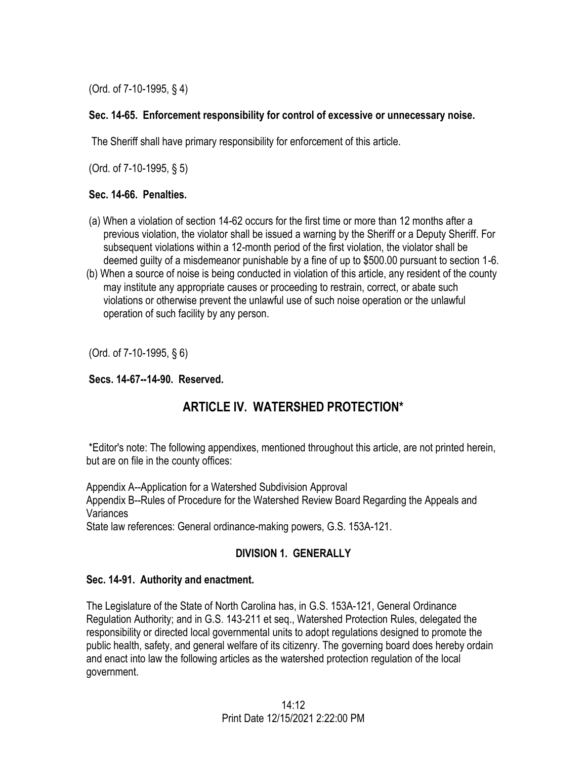(Ord. of 7-10-1995, § 4)

## **Sec. 14-65. Enforcement responsibility for control of excessive or unnecessary noise.**

The Sheriff shall have primary responsibility for enforcement of this article.

(Ord. of 7-10-1995, § 5)

## **Sec. 14-66. Penalties.**

- (a) When a violation of section 14-62 occurs for the first time or more than 12 months after a previous violation, the violator shall be issued a warning by the Sheriff or a Deputy Sheriff. For subsequent violations within a 12-month period of the first violation, the violator shall be deemed guilty of a misdemeanor punishable by a fine of up to \$500.00 pursuant to section 1-6.
- (b) When a source of noise is being conducted in violation of this article, any resident of the county may institute any appropriate causes or proceeding to restrain, correct, or abate such violations or otherwise prevent the unlawful use of such noise operation or the unlawful operation of such facility by any person.

(Ord. of 7-10-1995, § 6)

# **Secs. 14-67--14-90. Reserved.**

# **ARTICLE IV. WATERSHED PROTECTION\***

\*Editor's note: The following appendixes, mentioned throughout this article, are not printed herein, but are on file in the county offices:

Appendix A--Application for a Watershed Subdivision Approval Appendix B--Rules of Procedure for the Watershed Review Board Regarding the Appeals and **Variances** 

State law references: General ordinance-making powers, G.S. 153A-121.

# **DIVISION 1. GENERALLY**

# **Sec. 14-91. Authority and enactment.**

The Legislature of the State of North Carolina has, in G.S. 153A-121, General Ordinance Regulation Authority; and in G.S. 143-211 et seq., Watershed Protection Rules, delegated the responsibility or directed local governmental units to adopt regulations designed to promote the public health, safety, and general welfare of its citizenry. The governing board does hereby ordain and enact into law the following articles as the watershed protection regulation of the local government.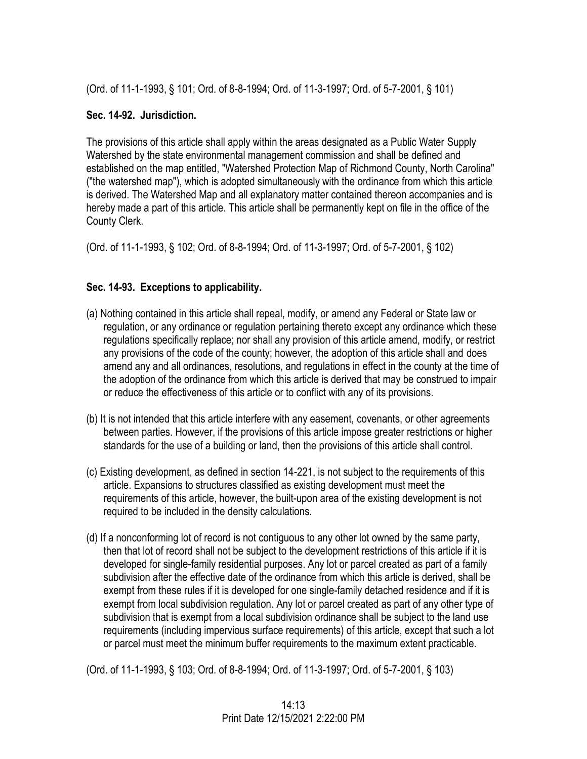(Ord. of 11-1-1993, § 101; Ord. of 8-8-1994; Ord. of 11-3-1997; Ord. of 5-7-2001, § 101)

## **Sec. 14-92. Jurisdiction.**

The provisions of this article shall apply within the areas designated as a Public Water Supply Watershed by the state environmental management commission and shall be defined and established on the map entitled, "Watershed Protection Map of Richmond County, North Carolina" ("the watershed map"), which is adopted simultaneously with the ordinance from which this article is derived. The Watershed Map and all explanatory matter contained thereon accompanies and is hereby made a part of this article. This article shall be permanently kept on file in the office of the County Clerk.

(Ord. of 11-1-1993, § 102; Ord. of 8-8-1994; Ord. of 11-3-1997; Ord. of 5-7-2001, § 102)

# **Sec. 14-93. Exceptions to applicability.**

- (a) Nothing contained in this article shall repeal, modify, or amend any Federal or State law or regulation, or any ordinance or regulation pertaining thereto except any ordinance which these regulations specifically replace; nor shall any provision of this article amend, modify, or restrict any provisions of the code of the county; however, the adoption of this article shall and does amend any and all ordinances, resolutions, and regulations in effect in the county at the time of the adoption of the ordinance from which this article is derived that may be construed to impair or reduce the effectiveness of this article or to conflict with any of its provisions.
- (b) It is not intended that this article interfere with any easement, covenants, or other agreements between parties. However, if the provisions of this article impose greater restrictions or higher standards for the use of a building or land, then the provisions of this article shall control.
- (c) Existing development, as defined in section 14-221, is not subject to the requirements of this article. Expansions to structures classified as existing development must meet the requirements of this article, however, the built-upon area of the existing development is not required to be included in the density calculations.
- (d) If a nonconforming lot of record is not contiguous to any other lot owned by the same party, then that lot of record shall not be subject to the development restrictions of this article if it is developed for single-family residential purposes. Any lot or parcel created as part of a family subdivision after the effective date of the ordinance from which this article is derived, shall be exempt from these rules if it is developed for one single-family detached residence and if it is exempt from local subdivision regulation. Any lot or parcel created as part of any other type of subdivision that is exempt from a local subdivision ordinance shall be subject to the land use requirements (including impervious surface requirements) of this article, except that such a lot or parcel must meet the minimum buffer requirements to the maximum extent practicable.

(Ord. of 11-1-1993, § 103; Ord. of 8-8-1994; Ord. of 11-3-1997; Ord. of 5-7-2001, § 103)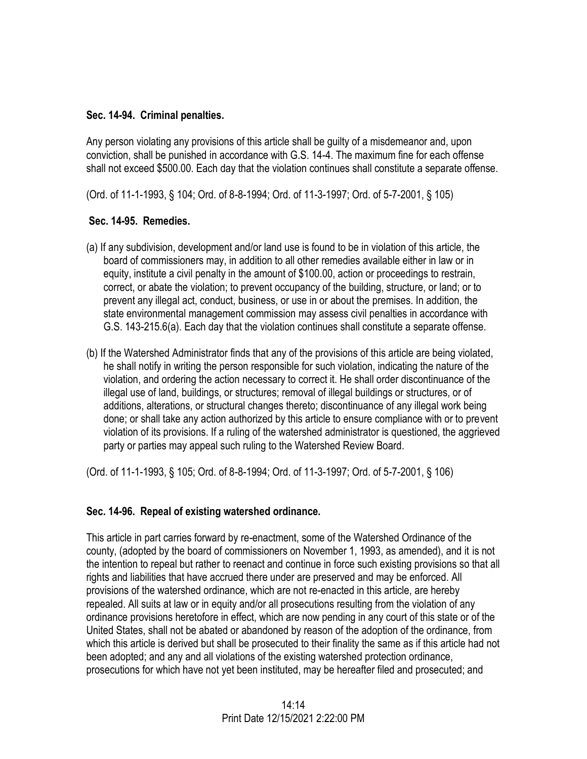#### **Sec. 14-94. Criminal penalties.**

Any person violating any provisions of this article shall be guilty of a misdemeanor and, upon conviction, shall be punished in accordance with G.S. 14-4. The maximum fine for each offense shall not exceed \$500.00. Each day that the violation continues shall constitute a separate offense.

(Ord. of 11-1-1993, § 104; Ord. of 8-8-1994; Ord. of 11-3-1997; Ord. of 5-7-2001, § 105)

## **Sec. 14-95. Remedies.**

- (a) If any subdivision, development and/or land use is found to be in violation of this article, the board of commissioners may, in addition to all other remedies available either in law or in equity, institute a civil penalty in the amount of \$100.00, action or proceedings to restrain, correct, or abate the violation; to prevent occupancy of the building, structure, or land; or to prevent any illegal act, conduct, business, or use in or about the premises. In addition, the state environmental management commission may assess civil penalties in accordance with G.S. 143-215.6(a). Each day that the violation continues shall constitute a separate offense.
- (b) If the Watershed Administrator finds that any of the provisions of this article are being violated, he shall notify in writing the person responsible for such violation, indicating the nature of the violation, and ordering the action necessary to correct it. He shall order discontinuance of the illegal use of land, buildings, or structures; removal of illegal buildings or structures, or of additions, alterations, or structural changes thereto; discontinuance of any illegal work being done; or shall take any action authorized by this article to ensure compliance with or to prevent violation of its provisions. If a ruling of the watershed administrator is questioned, the aggrieved party or parties may appeal such ruling to the Watershed Review Board.

(Ord. of 11-1-1993, § 105; Ord. of 8-8-1994; Ord. of 11-3-1997; Ord. of 5-7-2001, § 106)

## **Sec. 14-96. Repeal of existing watershed ordinance.**

This article in part carries forward by re-enactment, some of the Watershed Ordinance of the county, (adopted by the board of commissioners on November 1, 1993, as amended), and it is not the intention to repeal but rather to reenact and continue in force such existing provisions so that all rights and liabilities that have accrued there under are preserved and may be enforced. All provisions of the watershed ordinance, which are not re-enacted in this article, are hereby repealed. All suits at law or in equity and/or all prosecutions resulting from the violation of any ordinance provisions heretofore in effect, which are now pending in any court of this state or of the United States, shall not be abated or abandoned by reason of the adoption of the ordinance, from which this article is derived but shall be prosecuted to their finality the same as if this article had not been adopted; and any and all violations of the existing watershed protection ordinance, prosecutions for which have not yet been instituted, may be hereafter filed and prosecuted; and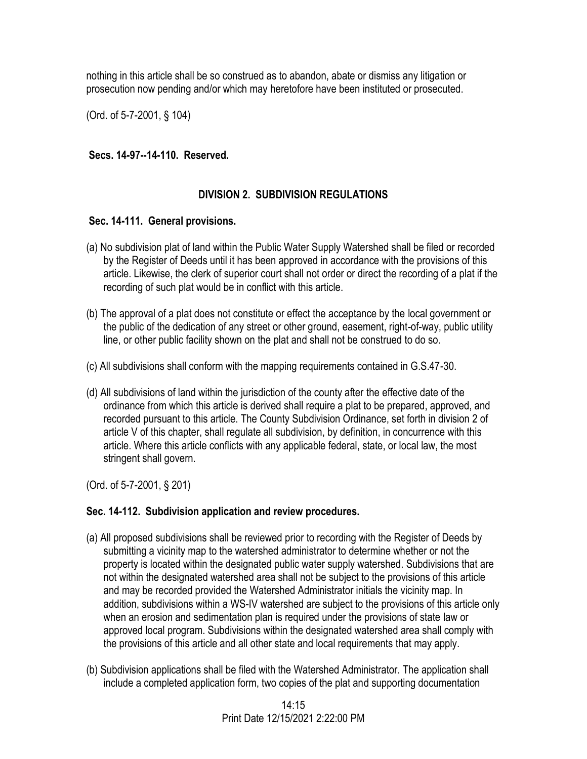nothing in this article shall be so construed as to abandon, abate or dismiss any litigation or prosecution now pending and/or which may heretofore have been instituted or prosecuted.

(Ord. of 5-7-2001, § 104)

#### **Secs. 14-97--14-110. Reserved.**

## **DIVISION 2. SUBDIVISION REGULATIONS**

#### **Sec. 14-111. General provisions.**

- (a) No subdivision plat of land within the Public Water Supply Watershed shall be filed or recorded by the Register of Deeds until it has been approved in accordance with the provisions of this article. Likewise, the clerk of superior court shall not order or direct the recording of a plat if the recording of such plat would be in conflict with this article.
- (b) The approval of a plat does not constitute or effect the acceptance by the local government or the public of the dedication of any street or other ground, easement, right-of-way, public utility line, or other public facility shown on the plat and shall not be construed to do so.
- (c) All subdivisions shall conform with the mapping requirements contained in G.S.47-30.
- (d) All subdivisions of land within the jurisdiction of the county after the effective date of the ordinance from which this article is derived shall require a plat to be prepared, approved, and recorded pursuant to this article. The County Subdivision Ordinance, set forth in division 2 of article V of this chapter, shall regulate all subdivision, by definition, in concurrence with this article. Where this article conflicts with any applicable federal, state, or local law, the most stringent shall govern.

(Ord. of 5-7-2001, § 201)

#### **Sec. 14-112. Subdivision application and review procedures.**

- (a) All proposed subdivisions shall be reviewed prior to recording with the Register of Deeds by submitting a vicinity map to the watershed administrator to determine whether or not the property is located within the designated public water supply watershed. Subdivisions that are not within the designated watershed area shall not be subject to the provisions of this article and may be recorded provided the Watershed Administrator initials the vicinity map. In addition, subdivisions within a WS-IV watershed are subject to the provisions of this article only when an erosion and sedimentation plan is required under the provisions of state law or approved local program. Subdivisions within the designated watershed area shall comply with the provisions of this article and all other state and local requirements that may apply.
- (b) Subdivision applications shall be filed with the Watershed Administrator. The application shall include a completed application form, two copies of the plat and supporting documentation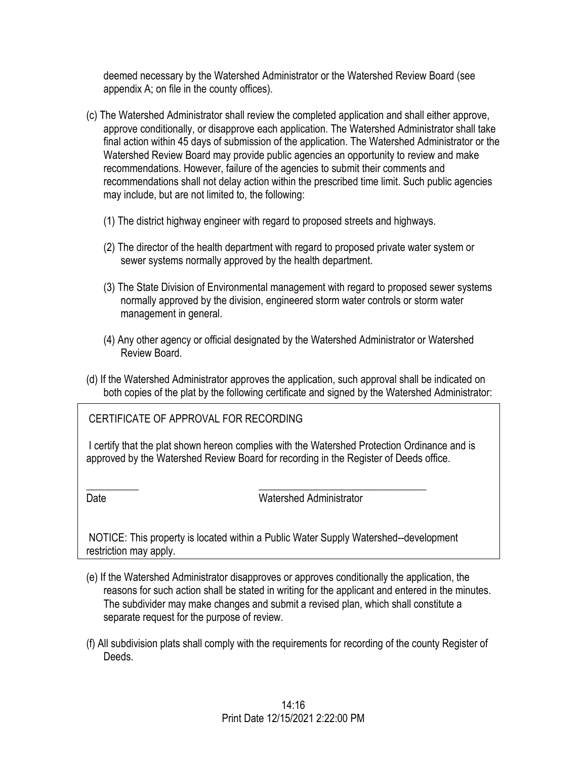deemed necessary by the Watershed Administrator or the Watershed Review Board (see appendix A; on file in the county offices).

- (c) The Watershed Administrator shall review the completed application and shall either approve, approve conditionally, or disapprove each application. The Watershed Administrator shall take final action within 45 days of submission of the application. The Watershed Administrator or the Watershed Review Board may provide public agencies an opportunity to review and make recommendations. However, failure of the agencies to submit their comments and recommendations shall not delay action within the prescribed time limit. Such public agencies may include, but are not limited to, the following:
	- (1) The district highway engineer with regard to proposed streets and highways.
	- (2) The director of the health department with regard to proposed private water system or sewer systems normally approved by the health department.
	- (3) The State Division of Environmental management with regard to proposed sewer systems normally approved by the division, engineered storm water controls or storm water management in general.
	- (4) Any other agency or official designated by the Watershed Administrator or Watershed Review Board.
- (d) If the Watershed Administrator approves the application, such approval shall be indicated on both copies of the plat by the following certificate and signed by the Watershed Administrator:

CERTIFICATE OF APPROVAL FOR RECORDING

I certify that the plat shown hereon complies with the Watershed Protection Ordinance and is approved by the Watershed Review Board for recording in the Register of Deeds office.

I

I

Date Watershed Administrator

NOTICE: This property is located within a Public Water Supply Watershed--development restriction may apply.

\_\_\_\_\_\_\_\_\_\_ \_\_\_\_\_\_\_\_\_\_\_\_\_\_\_\_\_\_\_\_\_\_\_\_\_\_\_\_\_\_\_\_

- (e) If the Watershed Administrator disapproves or approves conditionally the application, the reasons for such action shall be stated in writing for the applicant and entered in the minutes. The subdivider may make changes and submit a revised plan, which shall constitute a separate request for the purpose of review.
- (f) All subdivision plats shall comply with the requirements for recording of the county Register of Deeds.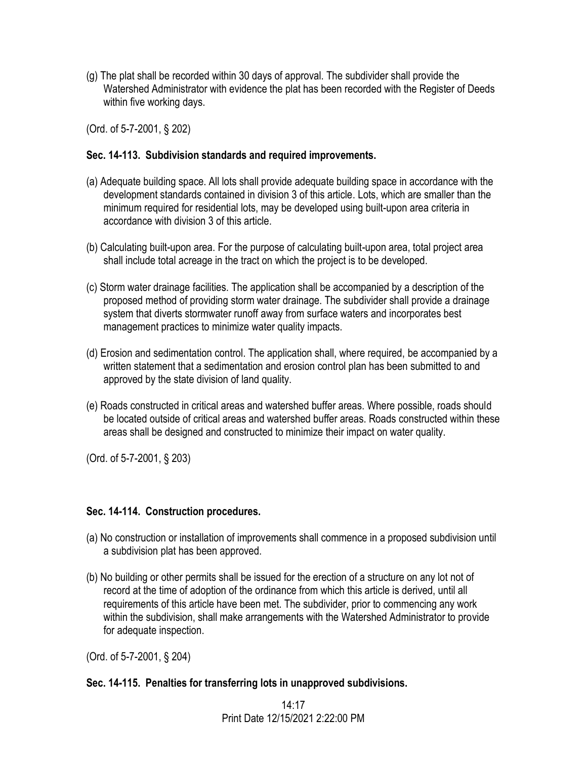(g) The plat shall be recorded within 30 days of approval. The subdivider shall provide the Watershed Administrator with evidence the plat has been recorded with the Register of Deeds within five working days.

(Ord. of 5-7-2001, § 202)

## **Sec. 14-113. Subdivision standards and required improvements.**

- (a) Adequate building space. All lots shall provide adequate building space in accordance with the development standards contained in division 3 of this article. Lots, which are smaller than the minimum required for residential lots, may be developed using built-upon area criteria in accordance with division 3 of this article.
- (b) Calculating built-upon area. For the purpose of calculating built-upon area, total project area shall include total acreage in the tract on which the project is to be developed.
- (c) Storm water drainage facilities. The application shall be accompanied by a description of the proposed method of providing storm water drainage. The subdivider shall provide a drainage system that diverts stormwater runoff away from surface waters and incorporates best management practices to minimize water quality impacts.
- (d) Erosion and sedimentation control. The application shall, where required, be accompanied by a written statement that a sedimentation and erosion control plan has been submitted to and approved by the state division of land quality.
- (e) Roads constructed in critical areas and watershed buffer areas. Where possible, roads should be located outside of critical areas and watershed buffer areas. Roads constructed within these areas shall be designed and constructed to minimize their impact on water quality.

(Ord. of 5-7-2001, § 203)

## **Sec. 14-114. Construction procedures.**

- (a) No construction or installation of improvements shall commence in a proposed subdivision until a subdivision plat has been approved.
- (b) No building or other permits shall be issued for the erection of a structure on any lot not of record at the time of adoption of the ordinance from which this article is derived, until all requirements of this article have been met. The subdivider, prior to commencing any work within the subdivision, shall make arrangements with the Watershed Administrator to provide for adequate inspection.

(Ord. of 5-7-2001, § 204)

## **Sec. 14-115. Penalties for transferring lots in unapproved subdivisions.**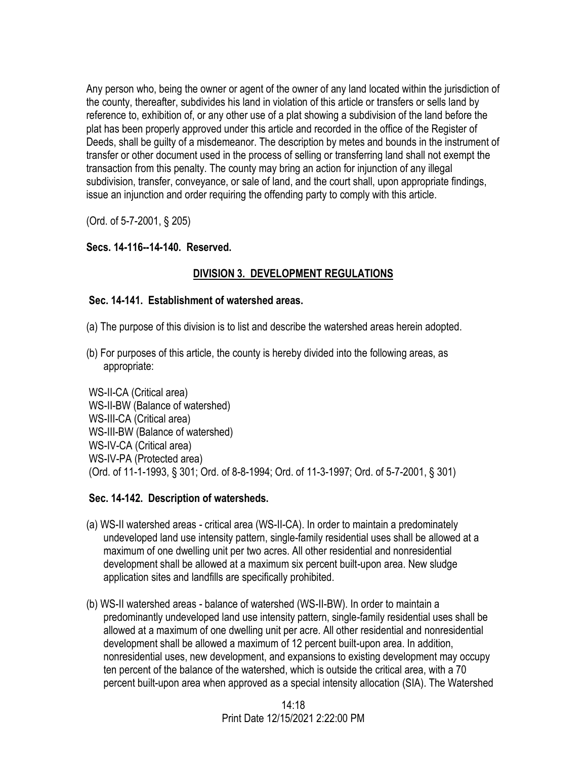Any person who, being the owner or agent of the owner of any land located within the jurisdiction of the county, thereafter, subdivides his land in violation of this article or transfers or sells land by reference to, exhibition of, or any other use of a plat showing a subdivision of the land before the plat has been properly approved under this article and recorded in the office of the Register of Deeds, shall be guilty of a misdemeanor. The description by metes and bounds in the instrument of transfer or other document used in the process of selling or transferring land shall not exempt the transaction from this penalty. The county may bring an action for injunction of any illegal subdivision, transfer, conveyance, or sale of land, and the court shall, upon appropriate findings, issue an injunction and order requiring the offending party to comply with this article.

(Ord. of 5-7-2001, § 205)

# **Secs. 14-116--14-140. Reserved.**

# **DIVISION 3. DEVELOPMENT REGULATIONS**

## **Sec. 14-141. Establishment of watershed areas.**

- (a) The purpose of this division is to list and describe the watershed areas herein adopted.
- (b) For purposes of this article, the county is hereby divided into the following areas, as appropriate:

WS-II-CA (Critical area) WS-II-BW (Balance of watershed) WS-III-CA (Critical area) WS-III-BW (Balance of watershed) WS-IV-CA (Critical area) WS-IV-PA (Protected area) (Ord. of 11-1-1993, § 301; Ord. of 8-8-1994; Ord. of 11-3-1997; Ord. of 5-7-2001, § 301)

## **Sec. 14-142. Description of watersheds.**

- (a) WS-II watershed areas critical area (WS-II-CA). In order to maintain a predominately undeveloped land use intensity pattern, single-family residential uses shall be allowed at a maximum of one dwelling unit per two acres. All other residential and nonresidential development shall be allowed at a maximum six percent built-upon area. New sludge application sites and landfills are specifically prohibited.
- (b) WS-II watershed areas balance of watershed (WS-II-BW). In order to maintain a predominantly undeveloped land use intensity pattern, single-family residential uses shall be allowed at a maximum of one dwelling unit per acre. All other residential and nonresidential development shall be allowed a maximum of 12 percent built-upon area. In addition, nonresidential uses, new development, and expansions to existing development may occupy ten percent of the balance of the watershed, which is outside the critical area, with a 70 percent built-upon area when approved as a special intensity allocation (SIA). The Watershed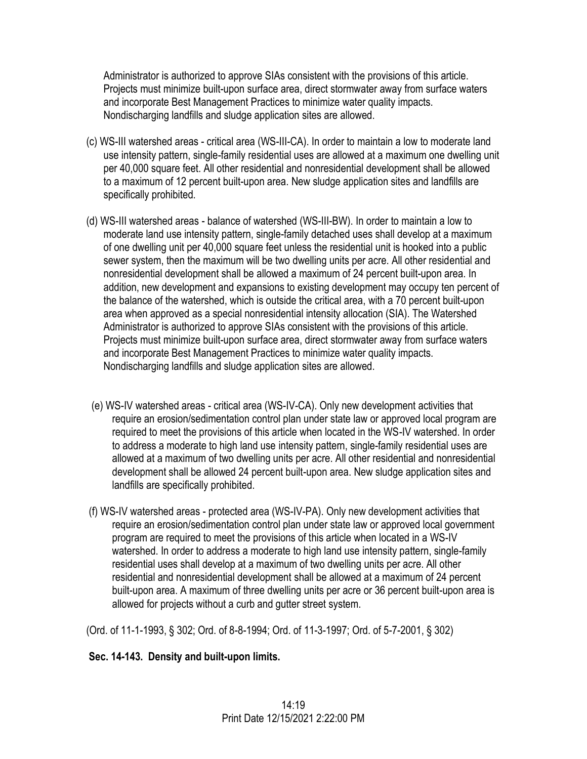Administrator is authorized to approve SIAs consistent with the provisions of this article. Projects must minimize built-upon surface area, direct stormwater away from surface waters and incorporate Best Management Practices to minimize water quality impacts. Nondischarging landfills and sludge application sites are allowed.

- (c) WS-III watershed areas critical area (WS-III-CA). In order to maintain a low to moderate land use intensity pattern, single-family residential uses are allowed at a maximum one dwelling unit per 40,000 square feet. All other residential and nonresidential development shall be allowed to a maximum of 12 percent built-upon area. New sludge application sites and landfills are specifically prohibited.
- (d) WS-III watershed areas balance of watershed (WS-III-BW). In order to maintain a low to moderate land use intensity pattern, single-family detached uses shall develop at a maximum of one dwelling unit per 40,000 square feet unless the residential unit is hooked into a public sewer system, then the maximum will be two dwelling units per acre. All other residential and nonresidential development shall be allowed a maximum of 24 percent built-upon area. In addition, new development and expansions to existing development may occupy ten percent of the balance of the watershed, which is outside the critical area, with a 70 percent built-upon area when approved as a special nonresidential intensity allocation (SIA). The Watershed Administrator is authorized to approve SIAs consistent with the provisions of this article. Projects must minimize built-upon surface area, direct stormwater away from surface waters and incorporate Best Management Practices to minimize water quality impacts. Nondischarging landfills and sludge application sites are allowed.
- (e) WS-IV watershed areas critical area (WS-IV-CA). Only new development activities that require an erosion/sedimentation control plan under state law or approved local program are required to meet the provisions of this article when located in the WS-IV watershed. In order to address a moderate to high land use intensity pattern, single-family residential uses are allowed at a maximum of two dwelling units per acre. All other residential and nonresidential development shall be allowed 24 percent built-upon area. New sludge application sites and landfills are specifically prohibited.
- (f) WS-IV watershed areas protected area (WS-IV-PA). Only new development activities that require an erosion/sedimentation control plan under state law or approved local government program are required to meet the provisions of this article when located in a WS-IV watershed. In order to address a moderate to high land use intensity pattern, single-family residential uses shall develop at a maximum of two dwelling units per acre. All other residential and nonresidential development shall be allowed at a maximum of 24 percent built-upon area. A maximum of three dwelling units per acre or 36 percent built-upon area is allowed for projects without a curb and gutter street system.

(Ord. of 11-1-1993, § 302; Ord. of 8-8-1994; Ord. of 11-3-1997; Ord. of 5-7-2001, § 302)

# **Sec. 14-143. Density and built-upon limits.**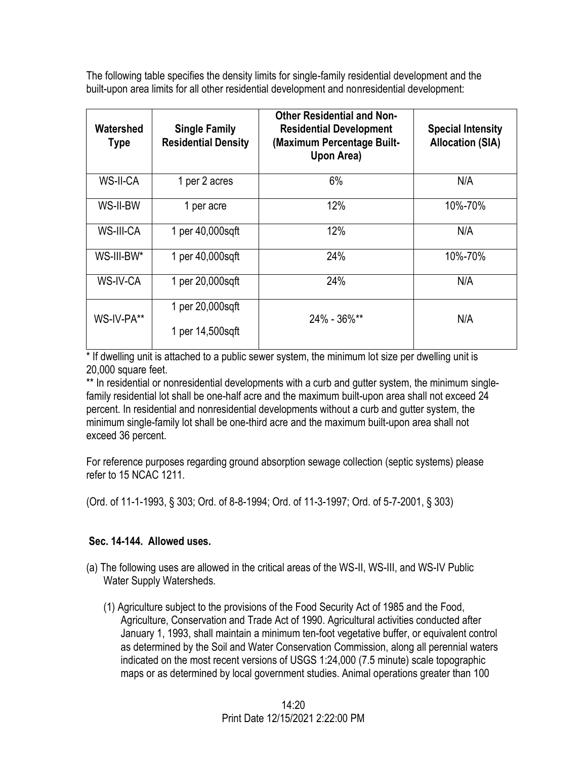The following table specifies the density limits for single-family residential development and the built-upon area limits for all other residential development and nonresidential development:

| Watershed<br><b>Type</b> | <b>Single Family</b><br><b>Residential Density</b> | <b>Other Residential and Non-</b><br><b>Residential Development</b><br>(Maximum Percentage Built-<br>Upon Area) | <b>Special Intensity</b><br><b>Allocation (SIA)</b> |
|--------------------------|----------------------------------------------------|-----------------------------------------------------------------------------------------------------------------|-----------------------------------------------------|
| WS-II-CA                 | 1 per 2 acres                                      | 6%                                                                                                              | N/A                                                 |
| WS-II-BW                 | 1 per acre                                         | 12%                                                                                                             | 10%-70%                                             |
| WS-III-CA                | 1 per 40,000sqft                                   | 12%                                                                                                             | N/A                                                 |
| WS-III-BW*               | 1 per 40,000sqft                                   | 24%                                                                                                             | 10%-70%                                             |
| WS-IV-CA                 | 1 per 20,000sqft                                   | 24%                                                                                                             | N/A                                                 |
| WS-IV-PA**               | 1 per 20,000sqft                                   | $24\% - 36\%$ **                                                                                                | N/A                                                 |
|                          | 1 per 14,500sqft                                   |                                                                                                                 |                                                     |

\* If dwelling unit is attached to a public sewer system, the minimum lot size per dwelling unit is 20,000 square feet.

\*\* In residential or nonresidential developments with a curb and gutter system, the minimum singlefamily residential lot shall be one-half acre and the maximum built-upon area shall not exceed 24 percent. In residential and nonresidential developments without a curb and gutter system, the minimum single-family lot shall be one-third acre and the maximum built-upon area shall not exceed 36 percent.

For reference purposes regarding ground absorption sewage collection (septic systems) please refer to 15 NCAC 1211.

(Ord. of 11-1-1993, § 303; Ord. of 8-8-1994; Ord. of 11-3-1997; Ord. of 5-7-2001, § 303)

# **Sec. 14-144. Allowed uses.**

- (a) The following uses are allowed in the critical areas of the WS-II, WS-III, and WS-IV Public Water Supply Watersheds.
	- (1) Agriculture subject to the provisions of the Food Security Act of 1985 and the Food, Agriculture, Conservation and Trade Act of 1990. Agricultural activities conducted after January 1, 1993, shall maintain a minimum ten-foot vegetative buffer, or equivalent control as determined by the Soil and Water Conservation Commission, along all perennial waters indicated on the most recent versions of USGS 1:24,000 (7.5 minute) scale topographic maps or as determined by local government studies. Animal operations greater than 100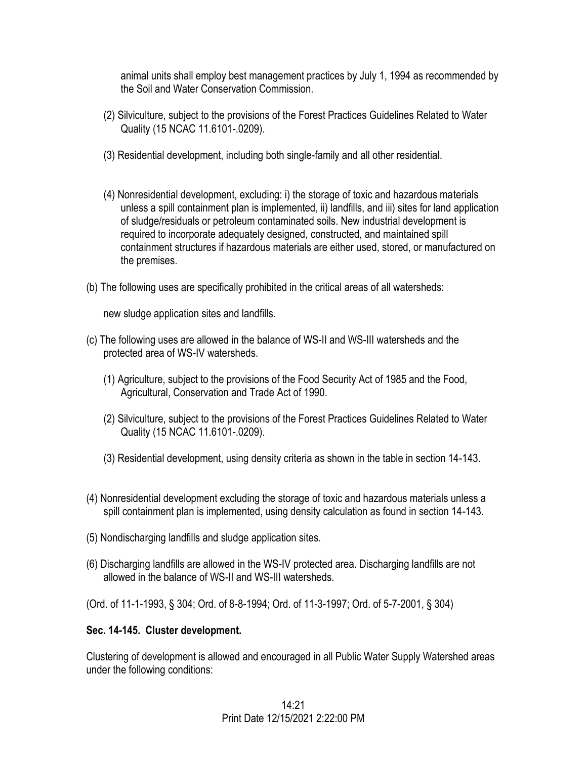animal units shall employ best management practices by July 1, 1994 as recommended by the Soil and Water Conservation Commission.

- (2) Silviculture, subject to the provisions of the Forest Practices Guidelines Related to Water Quality (15 NCAC 11.6101-.0209).
- (3) Residential development, including both single-family and all other residential.
- (4) Nonresidential development, excluding: i) the storage of toxic and hazardous materials unless a spill containment plan is implemented, ii) landfills, and iii) sites for land application of sludge/residuals or petroleum contaminated soils. New industrial development is required to incorporate adequately designed, constructed, and maintained spill containment structures if hazardous materials are either used, stored, or manufactured on the premises.
- (b) The following uses are specifically prohibited in the critical areas of all watersheds:

new sludge application sites and landfills.

- (c) The following uses are allowed in the balance of WS-II and WS-III watersheds and the protected area of WS-IV watersheds.
	- (1) Agriculture, subject to the provisions of the Food Security Act of 1985 and the Food, Agricultural, Conservation and Trade Act of 1990.
	- (2) Silviculture, subject to the provisions of the Forest Practices Guidelines Related to Water Quality (15 NCAC 11.6101-.0209).
	- (3) Residential development, using density criteria as shown in the table in section 14-143.
- (4) Nonresidential development excluding the storage of toxic and hazardous materials unless a spill containment plan is implemented, using density calculation as found in section 14-143.
- (5) Nondischarging landfills and sludge application sites.
- (6) Discharging landfills are allowed in the WS-IV protected area. Discharging landfills are not allowed in the balance of WS-II and WS-III watersheds.
- (Ord. of 11-1-1993, § 304; Ord. of 8-8-1994; Ord. of 11-3-1997; Ord. of 5-7-2001, § 304)

## **Sec. 14-145. Cluster development.**

Clustering of development is allowed and encouraged in all Public Water Supply Watershed areas under the following conditions: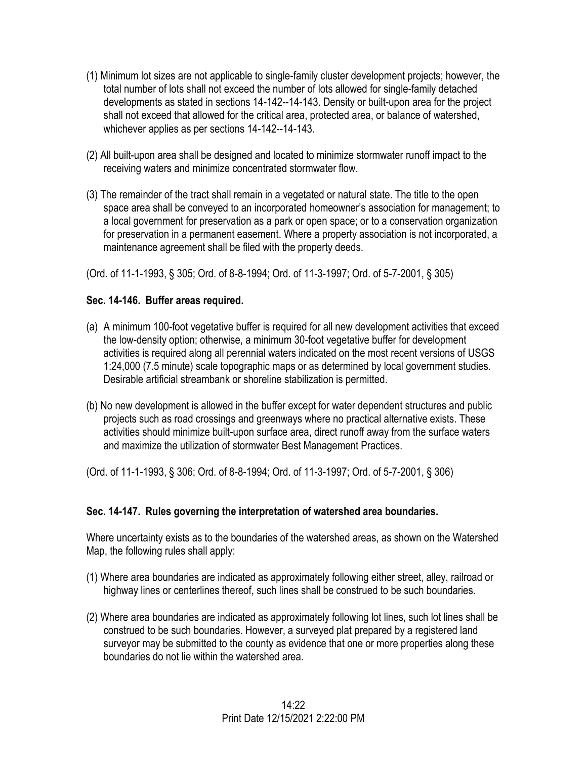- (1) Minimum lot sizes are not applicable to single-family cluster development projects; however, the total number of lots shall not exceed the number of lots allowed for single-family detached developments as stated in sections 14-142--14-143. Density or built-upon area for the project shall not exceed that allowed for the critical area, protected area, or balance of watershed, whichever applies as per sections 14-142--14-143.
- (2) All built-upon area shall be designed and located to minimize stormwater runoff impact to the receiving waters and minimize concentrated stormwater flow.
- (3) The remainder of the tract shall remain in a vegetated or natural state. The title to the open space area shall be conveyed to an incorporated homeowner's association for management; to a local government for preservation as a park or open space; or to a conservation organization for preservation in a permanent easement. Where a property association is not incorporated, a maintenance agreement shall be filed with the property deeds.

(Ord. of 11-1-1993, § 305; Ord. of 8-8-1994; Ord. of 11-3-1997; Ord. of 5-7-2001, § 305)

# **Sec. 14-146. Buffer areas required.**

- (a) A minimum 100-foot vegetative buffer is required for all new development activities that exceed the low-density option; otherwise, a minimum 30-foot vegetative buffer for development activities is required along all perennial waters indicated on the most recent versions of USGS 1:24,000 (7.5 minute) scale topographic maps or as determined by local government studies. Desirable artificial streambank or shoreline stabilization is permitted.
- (b) No new development is allowed in the buffer except for water dependent structures and public projects such as road crossings and greenways where no practical alternative exists. These activities should minimize built-upon surface area, direct runoff away from the surface waters and maximize the utilization of stormwater Best Management Practices.

(Ord. of 11-1-1993, § 306; Ord. of 8-8-1994; Ord. of 11-3-1997; Ord. of 5-7-2001, § 306)

# **Sec. 14-147. Rules governing the interpretation of watershed area boundaries.**

Where uncertainty exists as to the boundaries of the watershed areas, as shown on the Watershed Map, the following rules shall apply:

- (1) Where area boundaries are indicated as approximately following either street, alley, railroad or highway lines or centerlines thereof, such lines shall be construed to be such boundaries.
- (2) Where area boundaries are indicated as approximately following lot lines, such lot lines shall be construed to be such boundaries. However, a surveyed plat prepared by a registered land surveyor may be submitted to the county as evidence that one or more properties along these boundaries do not lie within the watershed area.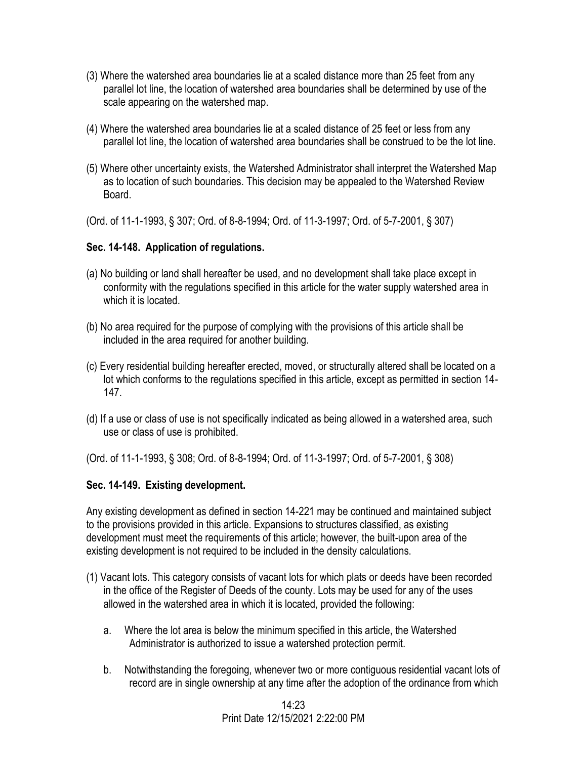- (3) Where the watershed area boundaries lie at a scaled distance more than 25 feet from any parallel lot line, the location of watershed area boundaries shall be determined by use of the scale appearing on the watershed map.
- (4) Where the watershed area boundaries lie at a scaled distance of 25 feet or less from any parallel lot line, the location of watershed area boundaries shall be construed to be the lot line.
- (5) Where other uncertainty exists, the Watershed Administrator shall interpret the Watershed Map as to location of such boundaries. This decision may be appealed to the Watershed Review Board.
- (Ord. of 11-1-1993, § 307; Ord. of 8-8-1994; Ord. of 11-3-1997; Ord. of 5-7-2001, § 307)

## **Sec. 14-148. Application of regulations.**

- (a) No building or land shall hereafter be used, and no development shall take place except in conformity with the regulations specified in this article for the water supply watershed area in which it is located.
- (b) No area required for the purpose of complying with the provisions of this article shall be included in the area required for another building.
- (c) Every residential building hereafter erected, moved, or structurally altered shall be located on a lot which conforms to the regulations specified in this article, except as permitted in section 14- 147.
- (d) If a use or class of use is not specifically indicated as being allowed in a watershed area, such use or class of use is prohibited.

(Ord. of 11-1-1993, § 308; Ord. of 8-8-1994; Ord. of 11-3-1997; Ord. of 5-7-2001, § 308)

## **Sec. 14-149. Existing development.**

Any existing development as defined in section 14-221 may be continued and maintained subject to the provisions provided in this article. Expansions to structures classified, as existing development must meet the requirements of this article; however, the built-upon area of the existing development is not required to be included in the density calculations.

- (1) Vacant lots. This category consists of vacant lots for which plats or deeds have been recorded in the office of the Register of Deeds of the county. Lots may be used for any of the uses allowed in the watershed area in which it is located, provided the following:
	- a. Where the lot area is below the minimum specified in this article, the Watershed Administrator is authorized to issue a watershed protection permit.
	- b. Notwithstanding the foregoing, whenever two or more contiguous residential vacant lots of record are in single ownership at any time after the adoption of the ordinance from which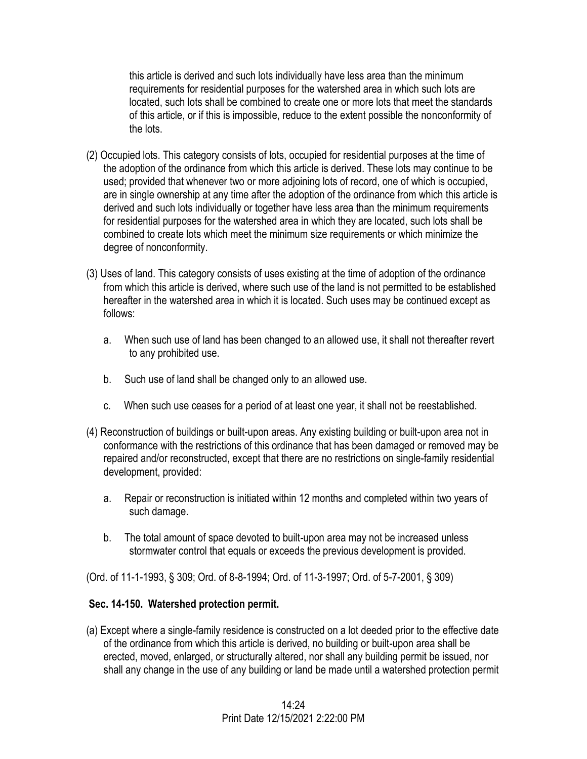this article is derived and such lots individually have less area than the minimum requirements for residential purposes for the watershed area in which such lots are located, such lots shall be combined to create one or more lots that meet the standards of this article, or if this is impossible, reduce to the extent possible the nonconformity of the lots.

- (2) Occupied lots. This category consists of lots, occupied for residential purposes at the time of the adoption of the ordinance from which this article is derived. These lots may continue to be used; provided that whenever two or more adjoining lots of record, one of which is occupied, are in single ownership at any time after the adoption of the ordinance from which this article is derived and such lots individually or together have less area than the minimum requirements for residential purposes for the watershed area in which they are located, such lots shall be combined to create lots which meet the minimum size requirements or which minimize the degree of nonconformity.
- (3) Uses of land. This category consists of uses existing at the time of adoption of the ordinance from which this article is derived, where such use of the land is not permitted to be established hereafter in the watershed area in which it is located. Such uses may be continued except as follows:
	- a. When such use of land has been changed to an allowed use, it shall not thereafter revert to any prohibited use.
	- b. Such use of land shall be changed only to an allowed use.
	- c. When such use ceases for a period of at least one year, it shall not be reestablished.
- (4) Reconstruction of buildings or built-upon areas. Any existing building or built-upon area not in conformance with the restrictions of this ordinance that has been damaged or removed may be repaired and/or reconstructed, except that there are no restrictions on single-family residential development, provided:
	- a. Repair or reconstruction is initiated within 12 months and completed within two years of such damage.
	- b. The total amount of space devoted to built-upon area may not be increased unless stormwater control that equals or exceeds the previous development is provided.

(Ord. of 11-1-1993, § 309; Ord. of 8-8-1994; Ord. of 11-3-1997; Ord. of 5-7-2001, § 309)

# **Sec. 14-150. Watershed protection permit.**

(a) Except where a single-family residence is constructed on a lot deeded prior to the effective date of the ordinance from which this article is derived, no building or built-upon area shall be erected, moved, enlarged, or structurally altered, nor shall any building permit be issued, nor shall any change in the use of any building or land be made until a watershed protection permit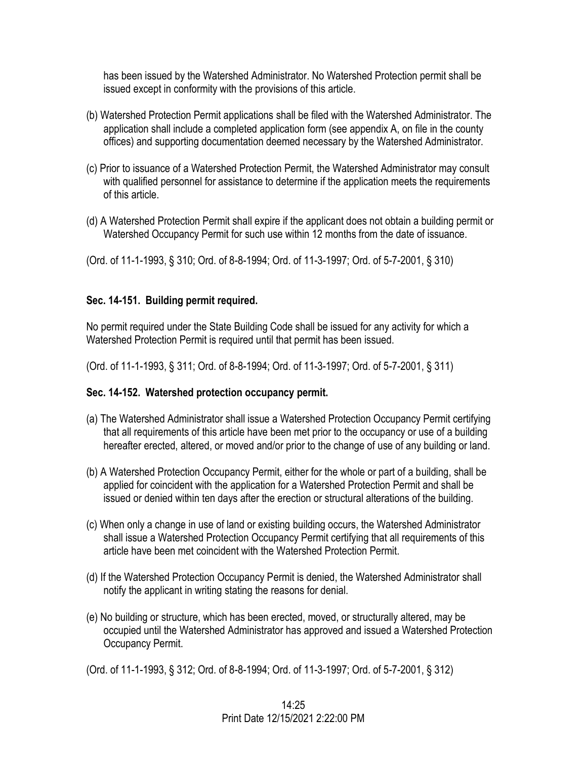has been issued by the Watershed Administrator. No Watershed Protection permit shall be issued except in conformity with the provisions of this article.

- (b) Watershed Protection Permit applications shall be filed with the Watershed Administrator. The application shall include a completed application form (see appendix A, on file in the county offices) and supporting documentation deemed necessary by the Watershed Administrator.
- (c) Prior to issuance of a Watershed Protection Permit, the Watershed Administrator may consult with qualified personnel for assistance to determine if the application meets the requirements of this article.
- (d) A Watershed Protection Permit shall expire if the applicant does not obtain a building permit or Watershed Occupancy Permit for such use within 12 months from the date of issuance.

(Ord. of 11-1-1993, § 310; Ord. of 8-8-1994; Ord. of 11-3-1997; Ord. of 5-7-2001, § 310)

## **Sec. 14-151. Building permit required.**

No permit required under the State Building Code shall be issued for any activity for which a Watershed Protection Permit is required until that permit has been issued.

(Ord. of 11-1-1993, § 311; Ord. of 8-8-1994; Ord. of 11-3-1997; Ord. of 5-7-2001, § 311)

## **Sec. 14-152. Watershed protection occupancy permit.**

- (a) The Watershed Administrator shall issue a Watershed Protection Occupancy Permit certifying that all requirements of this article have been met prior to the occupancy or use of a building hereafter erected, altered, or moved and/or prior to the change of use of any building or land.
- (b) A Watershed Protection Occupancy Permit, either for the whole or part of a building, shall be applied for coincident with the application for a Watershed Protection Permit and shall be issued or denied within ten days after the erection or structural alterations of the building.
- (c) When only a change in use of land or existing building occurs, the Watershed Administrator shall issue a Watershed Protection Occupancy Permit certifying that all requirements of this article have been met coincident with the Watershed Protection Permit.
- (d) If the Watershed Protection Occupancy Permit is denied, the Watershed Administrator shall notify the applicant in writing stating the reasons for denial.
- (e) No building or structure, which has been erected, moved, or structurally altered, may be occupied until the Watershed Administrator has approved and issued a Watershed Protection Occupancy Permit.
- (Ord. of 11-1-1993, § 312; Ord. of 8-8-1994; Ord. of 11-3-1997; Ord. of 5-7-2001, § 312)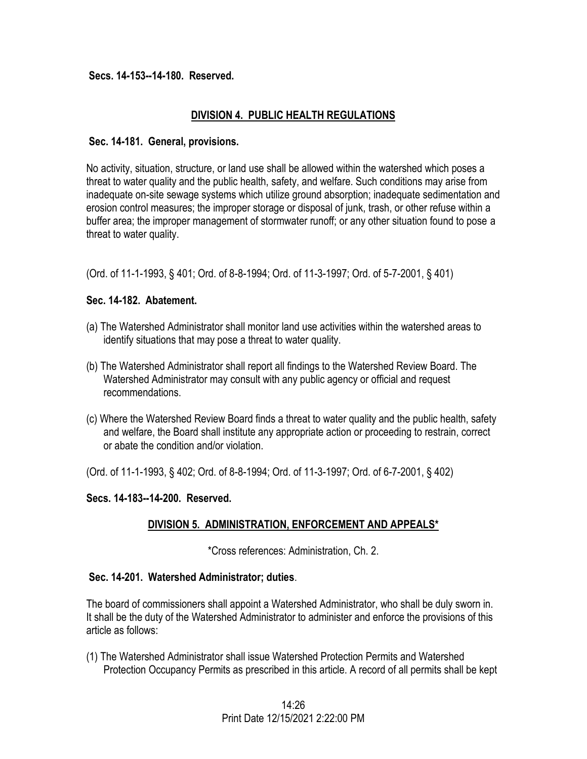#### **Secs. 14-153--14-180. Reserved.**

## **DIVISION 4. PUBLIC HEALTH REGULATIONS**

#### **Sec. 14-181. General, provisions.**

No activity, situation, structure, or land use shall be allowed within the watershed which poses a threat to water quality and the public health, safety, and welfare. Such conditions may arise from inadequate on-site sewage systems which utilize ground absorption; inadequate sedimentation and erosion control measures; the improper storage or disposal of junk, trash, or other refuse within a buffer area; the improper management of stormwater runoff; or any other situation found to pose a threat to water quality.

(Ord. of 11-1-1993, § 401; Ord. of 8-8-1994; Ord. of 11-3-1997; Ord. of 5-7-2001, § 401)

## **Sec. 14-182. Abatement.**

- (a) The Watershed Administrator shall monitor land use activities within the watershed areas to identify situations that may pose a threat to water quality.
- (b) The Watershed Administrator shall report all findings to the Watershed Review Board. The Watershed Administrator may consult with any public agency or official and request recommendations.
- (c) Where the Watershed Review Board finds a threat to water quality and the public health, safety and welfare, the Board shall institute any appropriate action or proceeding to restrain, correct or abate the condition and/or violation.

(Ord. of 11-1-1993, § 402; Ord. of 8-8-1994; Ord. of 11-3-1997; Ord. of 6-7-2001, § 402)

## **Secs. 14-183--14-200. Reserved.**

# **DIVISION 5. ADMINISTRATION, ENFORCEMENT AND APPEALS\***

\*Cross references: Administration, Ch. 2.

## **Sec. 14-201. Watershed Administrator; duties**.

The board of commissioners shall appoint a Watershed Administrator, who shall be duly sworn in. It shall be the duty of the Watershed Administrator to administer and enforce the provisions of this article as follows:

(1) The Watershed Administrator shall issue Watershed Protection Permits and Watershed Protection Occupancy Permits as prescribed in this article. A record of all permits shall be kept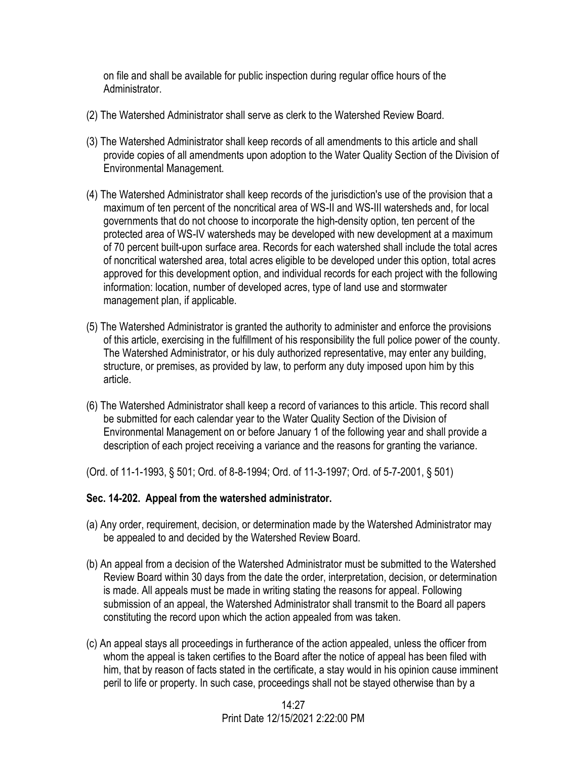on file and shall be available for public inspection during regular office hours of the Administrator.

- (2) The Watershed Administrator shall serve as clerk to the Watershed Review Board.
- (3) The Watershed Administrator shall keep records of all amendments to this article and shall provide copies of all amendments upon adoption to the Water Quality Section of the Division of Environmental Management.
- (4) The Watershed Administrator shall keep records of the jurisdiction's use of the provision that a maximum of ten percent of the noncritical area of WS-II and WS-III watersheds and, for local governments that do not choose to incorporate the high-density option, ten percent of the protected area of WS-IV watersheds may be developed with new development at a maximum of 70 percent built-upon surface area. Records for each watershed shall include the total acres of noncritical watershed area, total acres eligible to be developed under this option, total acres approved for this development option, and individual records for each project with the following information: location, number of developed acres, type of land use and stormwater management plan, if applicable.
- (5) The Watershed Administrator is granted the authority to administer and enforce the provisions of this article, exercising in the fulfillment of his responsibility the full police power of the county. The Watershed Administrator, or his duly authorized representative, may enter any building, structure, or premises, as provided by law, to perform any duty imposed upon him by this article.
- (6) The Watershed Administrator shall keep a record of variances to this article. This record shall be submitted for each calendar year to the Water Quality Section of the Division of Environmental Management on or before January 1 of the following year and shall provide a description of each project receiving a variance and the reasons for granting the variance.

(Ord. of 11-1-1993, § 501; Ord. of 8-8-1994; Ord. of 11-3-1997; Ord. of 5-7-2001, § 501)

## **Sec. 14-202. Appeal from the watershed administrator.**

- (a) Any order, requirement, decision, or determination made by the Watershed Administrator may be appealed to and decided by the Watershed Review Board.
- (b) An appeal from a decision of the Watershed Administrator must be submitted to the Watershed Review Board within 30 days from the date the order, interpretation, decision, or determination is made. All appeals must be made in writing stating the reasons for appeal. Following submission of an appeal, the Watershed Administrator shall transmit to the Board all papers constituting the record upon which the action appealed from was taken.
- (c) An appeal stays all proceedings in furtherance of the action appealed, unless the officer from whom the appeal is taken certifies to the Board after the notice of appeal has been filed with him, that by reason of facts stated in the certificate, a stay would in his opinion cause imminent peril to life or property. In such case, proceedings shall not be stayed otherwise than by a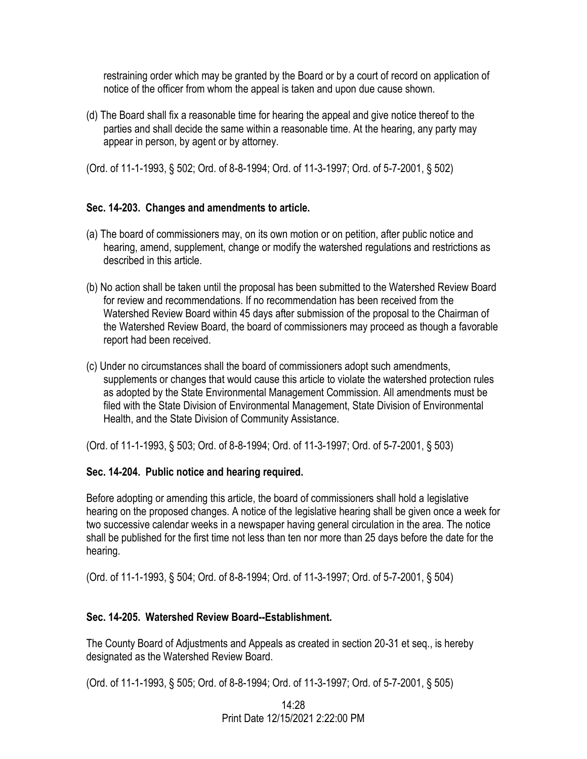restraining order which may be granted by the Board or by a court of record on application of notice of the officer from whom the appeal is taken and upon due cause shown.

(d) The Board shall fix a reasonable time for hearing the appeal and give notice thereof to the parties and shall decide the same within a reasonable time. At the hearing, any party may appear in person, by agent or by attorney.

(Ord. of 11-1-1993, § 502; Ord. of 8-8-1994; Ord. of 11-3-1997; Ord. of 5-7-2001, § 502)

# **Sec. 14-203. Changes and amendments to article.**

- (a) The board of commissioners may, on its own motion or on petition, after public notice and hearing, amend, supplement, change or modify the watershed regulations and restrictions as described in this article.
- (b) No action shall be taken until the proposal has been submitted to the Watershed Review Board for review and recommendations. If no recommendation has been received from the Watershed Review Board within 45 days after submission of the proposal to the Chairman of the Watershed Review Board, the board of commissioners may proceed as though a favorable report had been received.
- (c) Under no circumstances shall the board of commissioners adopt such amendments, supplements or changes that would cause this article to violate the watershed protection rules as adopted by the State Environmental Management Commission. All amendments must be filed with the State Division of Environmental Management, State Division of Environmental Health, and the State Division of Community Assistance.

(Ord. of 11-1-1993, § 503; Ord. of 8-8-1994; Ord. of 11-3-1997; Ord. of 5-7-2001, § 503)

# **Sec. 14-204. Public notice and hearing required.**

Before adopting or amending this article, the board of commissioners shall hold a legislative hearing on the proposed changes. A notice of the legislative hearing shall be given once a week for two successive calendar weeks in a newspaper having general circulation in the area. The notice shall be published for the first time not less than ten nor more than 25 days before the date for the hearing.

(Ord. of 11-1-1993, § 504; Ord. of 8-8-1994; Ord. of 11-3-1997; Ord. of 5-7-2001, § 504)

# **Sec. 14-205. Watershed Review Board--Establishment.**

The County Board of Adjustments and Appeals as created in section 20-31 et seq., is hereby designated as the Watershed Review Board.

(Ord. of 11-1-1993, § 505; Ord. of 8-8-1994; Ord. of 11-3-1997; Ord. of 5-7-2001, § 505)

14:28 Print Date 12/15/2021 2:22:00 PM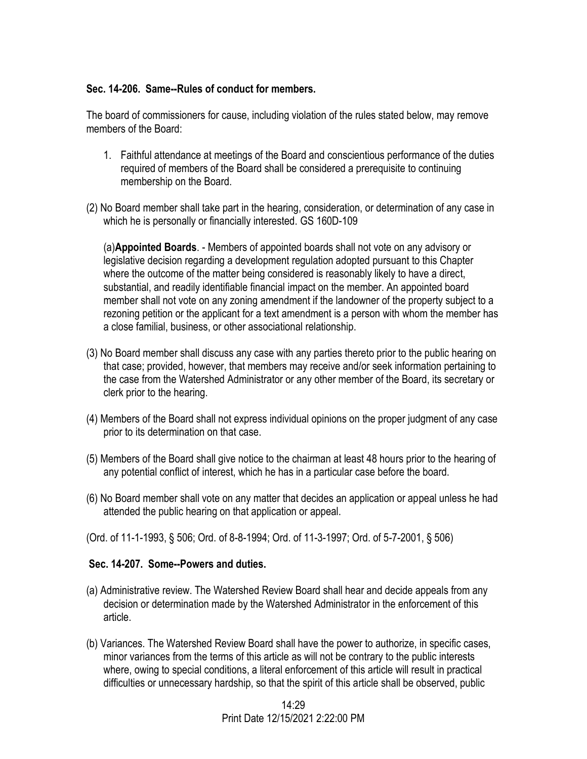## **Sec. 14-206. Same--Rules of conduct for members.**

The board of commissioners for cause, including violation of the rules stated below, may remove members of the Board:

- 1. Faithful attendance at meetings of the Board and conscientious performance of the duties required of members of the Board shall be considered a prerequisite to continuing membership on the Board.
- (2) No Board member shall take part in the hearing, consideration, or determination of any case in which he is personally or financially interested. GS 160D-109

(a)**Appointed Boards**. - Members of appointed boards shall not vote on any advisory or legislative decision regarding a development regulation adopted pursuant to this Chapter where the outcome of the matter being considered is reasonably likely to have a direct, substantial, and readily identifiable financial impact on the member. An appointed board member shall not vote on any zoning amendment if the landowner of the property subject to a rezoning petition or the applicant for a text amendment is a person with whom the member has a close familial, business, or other associational relationship.

- (3) No Board member shall discuss any case with any parties thereto prior to the public hearing on that case; provided, however, that members may receive and/or seek information pertaining to the case from the Watershed Administrator or any other member of the Board, its secretary or clerk prior to the hearing.
- (4) Members of the Board shall not express individual opinions on the proper judgment of any case prior to its determination on that case.
- (5) Members of the Board shall give notice to the chairman at least 48 hours prior to the hearing of any potential conflict of interest, which he has in a particular case before the board.
- (6) No Board member shall vote on any matter that decides an application or appeal unless he had attended the public hearing on that application or appeal.
- (Ord. of 11-1-1993, § 506; Ord. of 8-8-1994; Ord. of 11-3-1997; Ord. of 5-7-2001, § 506)

## **Sec. 14-207. Some--Powers and duties.**

- (a) Administrative review. The Watershed Review Board shall hear and decide appeals from any decision or determination made by the Watershed Administrator in the enforcement of this article.
- (b) Variances. The Watershed Review Board shall have the power to authorize, in specific cases, minor variances from the terms of this article as will not be contrary to the public interests where, owing to special conditions, a literal enforcement of this article will result in practical difficulties or unnecessary hardship, so that the spirit of this article shall be observed, public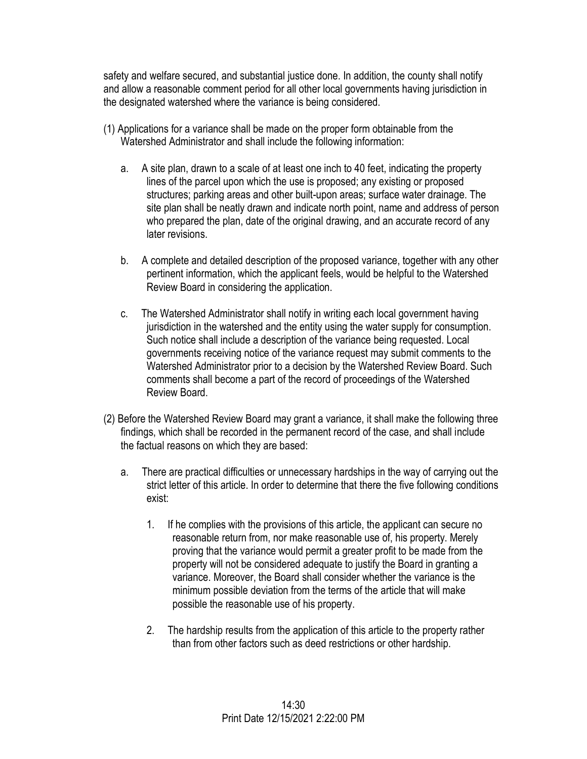safety and welfare secured, and substantial justice done. In addition, the county shall notify and allow a reasonable comment period for all other local governments having jurisdiction in the designated watershed where the variance is being considered.

- (1) Applications for a variance shall be made on the proper form obtainable from the Watershed Administrator and shall include the following information:
	- a. A site plan, drawn to a scale of at least one inch to 40 feet, indicating the property lines of the parcel upon which the use is proposed; any existing or proposed structures; parking areas and other built-upon areas; surface water drainage. The site plan shall be neatly drawn and indicate north point, name and address of person who prepared the plan, date of the original drawing, and an accurate record of any later revisions.
	- b. A complete and detailed description of the proposed variance, together with any other pertinent information, which the applicant feels, would be helpful to the Watershed Review Board in considering the application.
	- c. The Watershed Administrator shall notify in writing each local government having jurisdiction in the watershed and the entity using the water supply for consumption. Such notice shall include a description of the variance being requested. Local governments receiving notice of the variance request may submit comments to the Watershed Administrator prior to a decision by the Watershed Review Board. Such comments shall become a part of the record of proceedings of the Watershed Review Board.
- (2) Before the Watershed Review Board may grant a variance, it shall make the following three findings, which shall be recorded in the permanent record of the case, and shall include the factual reasons on which they are based:
	- a. There are practical difficulties or unnecessary hardships in the way of carrying out the strict letter of this article. In order to determine that there the five following conditions exist:
		- 1. If he complies with the provisions of this article, the applicant can secure no reasonable return from, nor make reasonable use of, his property. Merely proving that the variance would permit a greater profit to be made from the property will not be considered adequate to justify the Board in granting a variance. Moreover, the Board shall consider whether the variance is the minimum possible deviation from the terms of the article that will make possible the reasonable use of his property.
		- 2. The hardship results from the application of this article to the property rather than from other factors such as deed restrictions or other hardship.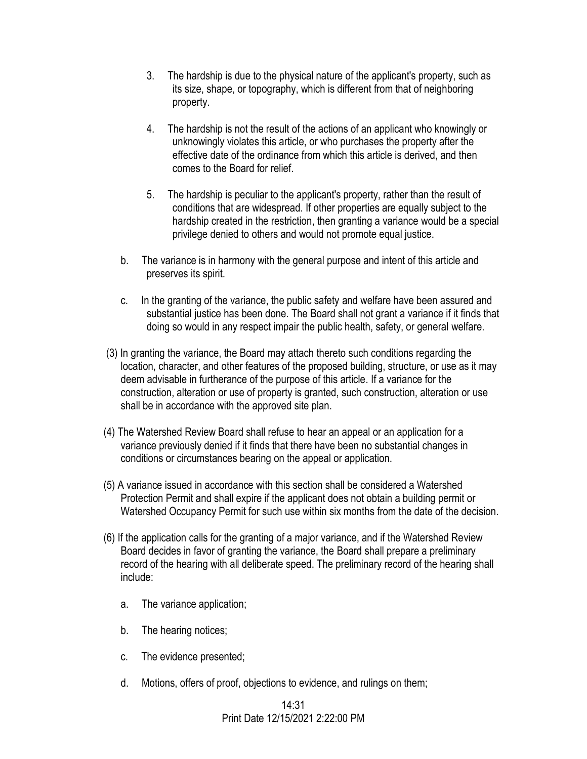- 3. The hardship is due to the physical nature of the applicant's property, such as its size, shape, or topography, which is different from that of neighboring property.
- 4. The hardship is not the result of the actions of an applicant who knowingly or unknowingly violates this article, or who purchases the property after the effective date of the ordinance from which this article is derived, and then comes to the Board for relief.
- 5. The hardship is peculiar to the applicant's property, rather than the result of conditions that are widespread. If other properties are equally subject to the hardship created in the restriction, then granting a variance would be a special privilege denied to others and would not promote equal justice.
- b. The variance is in harmony with the general purpose and intent of this article and preserves its spirit.
- c. In the granting of the variance, the public safety and welfare have been assured and substantial justice has been done. The Board shall not grant a variance if it finds that doing so would in any respect impair the public health, safety, or general welfare.
- (3) In granting the variance, the Board may attach thereto such conditions regarding the location, character, and other features of the proposed building, structure, or use as it may deem advisable in furtherance of the purpose of this article. If a variance for the construction, alteration or use of property is granted, such construction, alteration or use shall be in accordance with the approved site plan.
- (4) The Watershed Review Board shall refuse to hear an appeal or an application for a variance previously denied if it finds that there have been no substantial changes in conditions or circumstances bearing on the appeal or application.
- (5) A variance issued in accordance with this section shall be considered a Watershed Protection Permit and shall expire if the applicant does not obtain a building permit or Watershed Occupancy Permit for such use within six months from the date of the decision.
- (6) If the application calls for the granting of a major variance, and if the Watershed Review Board decides in favor of granting the variance, the Board shall prepare a preliminary record of the hearing with all deliberate speed. The preliminary record of the hearing shall include:
	- a. The variance application;
	- b. The hearing notices;
	- c. The evidence presented;
	- d. Motions, offers of proof, objections to evidence, and rulings on them;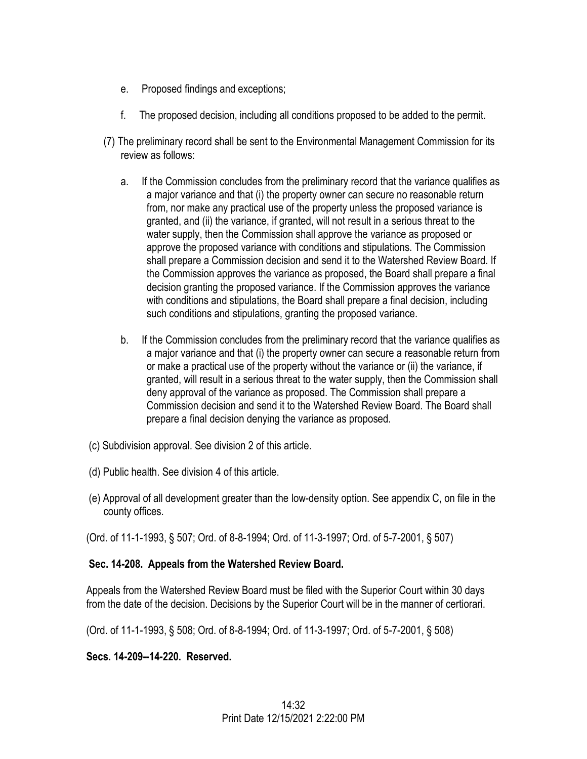- e. Proposed findings and exceptions;
- f. The proposed decision, including all conditions proposed to be added to the permit.
- (7) The preliminary record shall be sent to the Environmental Management Commission for its review as follows:
	- a. If the Commission concludes from the preliminary record that the variance qualifies as a major variance and that (i) the property owner can secure no reasonable return from, nor make any practical use of the property unless the proposed variance is granted, and (ii) the variance, if granted, will not result in a serious threat to the water supply, then the Commission shall approve the variance as proposed or approve the proposed variance with conditions and stipulations. The Commission shall prepare a Commission decision and send it to the Watershed Review Board. If the Commission approves the variance as proposed, the Board shall prepare a final decision granting the proposed variance. If the Commission approves the variance with conditions and stipulations, the Board shall prepare a final decision, including such conditions and stipulations, granting the proposed variance.
	- b. If the Commission concludes from the preliminary record that the variance qualifies as a major variance and that (i) the property owner can secure a reasonable return from or make a practical use of the property without the variance or (ii) the variance, if granted, will result in a serious threat to the water supply, then the Commission shall deny approval of the variance as proposed. The Commission shall prepare a Commission decision and send it to the Watershed Review Board. The Board shall prepare a final decision denying the variance as proposed.
- (c) Subdivision approval. See division 2 of this article.
- (d) Public health. See division 4 of this article.
- (e) Approval of all development greater than the low-density option. See appendix C, on file in the county offices.

(Ord. of 11-1-1993, § 507; Ord. of 8-8-1994; Ord. of 11-3-1997; Ord. of 5-7-2001, § 507)

# **Sec. 14-208. Appeals from the Watershed Review Board.**

Appeals from the Watershed Review Board must be filed with the Superior Court within 30 days from the date of the decision. Decisions by the Superior Court will be in the manner of certiorari.

(Ord. of 11-1-1993, § 508; Ord. of 8-8-1994; Ord. of 11-3-1997; Ord. of 5-7-2001, § 508)

# **Secs. 14-209--14-220. Reserved.**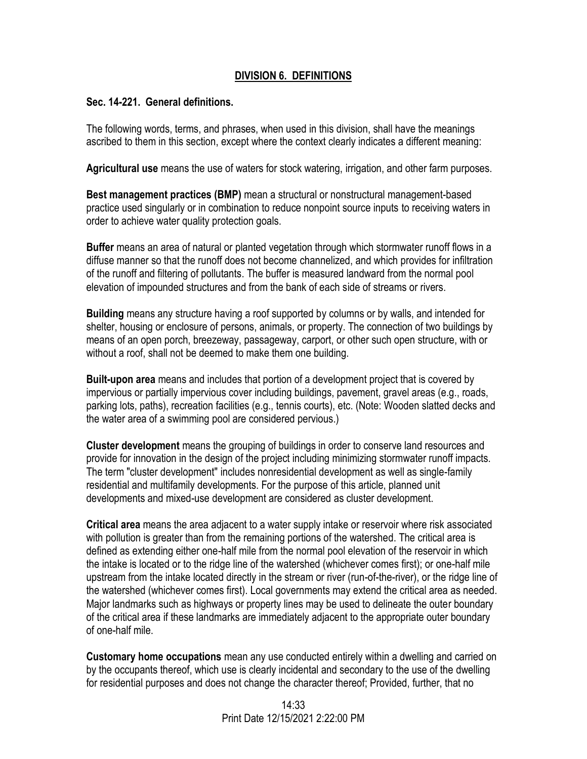## **DIVISION 6. DEFINITIONS**

#### **Sec. 14-221. General definitions.**

The following words, terms, and phrases, when used in this division, shall have the meanings ascribed to them in this section, except where the context clearly indicates a different meaning:

**Agricultural use** means the use of waters for stock watering, irrigation, and other farm purposes.

**Best management practices (BMP)** mean a structural or nonstructural management-based practice used singularly or in combination to reduce nonpoint source inputs to receiving waters in order to achieve water quality protection goals.

**Buffer** means an area of natural or planted vegetation through which stormwater runoff flows in a diffuse manner so that the runoff does not become channelized, and which provides for infiltration of the runoff and filtering of pollutants. The buffer is measured landward from the normal pool elevation of impounded structures and from the bank of each side of streams or rivers.

**Building** means any structure having a roof supported by columns or by walls, and intended for shelter, housing or enclosure of persons, animals, or property. The connection of two buildings by means of an open porch, breezeway, passageway, carport, or other such open structure, with or without a roof, shall not be deemed to make them one building.

**Built-upon area** means and includes that portion of a development project that is covered by impervious or partially impervious cover including buildings, pavement, gravel areas (e.g., roads, parking lots, paths), recreation facilities (e.g., tennis courts), etc. (Note: Wooden slatted decks and the water area of a swimming pool are considered pervious.)

**Cluster development** means the grouping of buildings in order to conserve land resources and provide for innovation in the design of the project including minimizing stormwater runoff impacts. The term "cluster development" includes nonresidential development as well as single-family residential and multifamily developments. For the purpose of this article, planned unit developments and mixed-use development are considered as cluster development.

**Critical area** means the area adjacent to a water supply intake or reservoir where risk associated with pollution is greater than from the remaining portions of the watershed. The critical area is defined as extending either one-half mile from the normal pool elevation of the reservoir in which the intake is located or to the ridge line of the watershed (whichever comes first); or one-half mile upstream from the intake located directly in the stream or river (run-of-the-river), or the ridge line of the watershed (whichever comes first). Local governments may extend the critical area as needed. Major landmarks such as highways or property lines may be used to delineate the outer boundary of the critical area if these landmarks are immediately adjacent to the appropriate outer boundary of one-half mile.

**Customary home occupations** mean any use conducted entirely within a dwelling and carried on by the occupants thereof, which use is clearly incidental and secondary to the use of the dwelling for residential purposes and does not change the character thereof; Provided, further, that no

> 14:33 Print Date 12/15/2021 2:22:00 PM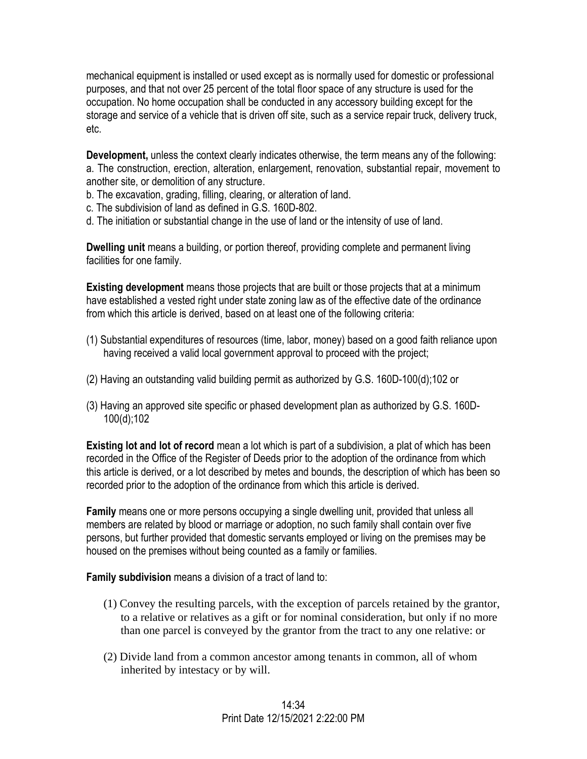mechanical equipment is installed or used except as is normally used for domestic or professional purposes, and that not over 25 percent of the total floor space of any structure is used for the occupation. No home occupation shall be conducted in any accessory building except for the storage and service of a vehicle that is driven off site, such as a service repair truck, delivery truck, etc.

**Development,** unless the context clearly indicates otherwise, the term means any of the following: a. The construction, erection, alteration, enlargement, renovation, substantial repair, movement to another site, or demolition of any structure.

- b. The excavation, grading, filling, clearing, or alteration of land.
- c. The subdivision of land as defined in G.S. 160D-802.
- d. The initiation or substantial change in the use of land or the intensity of use of land.

**Dwelling unit** means a building, or portion thereof, providing complete and permanent living facilities for one family.

**Existing development** means those projects that are built or those projects that at a minimum have established a vested right under state zoning law as of the effective date of the ordinance from which this article is derived, based on at least one of the following criteria:

- (1) Substantial expenditures of resources (time, labor, money) based on a good faith reliance upon having received a valid local government approval to proceed with the project;
- (2) Having an outstanding valid building permit as authorized by G.S. 160D-100(d);102 or
- (3) Having an approved site specific or phased development plan as authorized by G.S. 160D-100(d);102

**Existing lot and lot of record** mean a lot which is part of a subdivision, a plat of which has been recorded in the Office of the Register of Deeds prior to the adoption of the ordinance from which this article is derived, or a lot described by metes and bounds, the description of which has been so recorded prior to the adoption of the ordinance from which this article is derived.

**Family** means one or more persons occupying a single dwelling unit, provided that unless all members are related by blood or marriage or adoption, no such family shall contain over five persons, but further provided that domestic servants employed or living on the premises may be housed on the premises without being counted as a family or families.

**Family subdivision** means a division of a tract of land to:

- (1) Convey the resulting parcels, with the exception of parcels retained by the grantor, to a relative or relatives as a gift or for nominal consideration, but only if no more than one parcel is conveyed by the grantor from the tract to any one relative: or
- (2) Divide land from a common ancestor among tenants in common, all of whom inherited by intestacy or by will.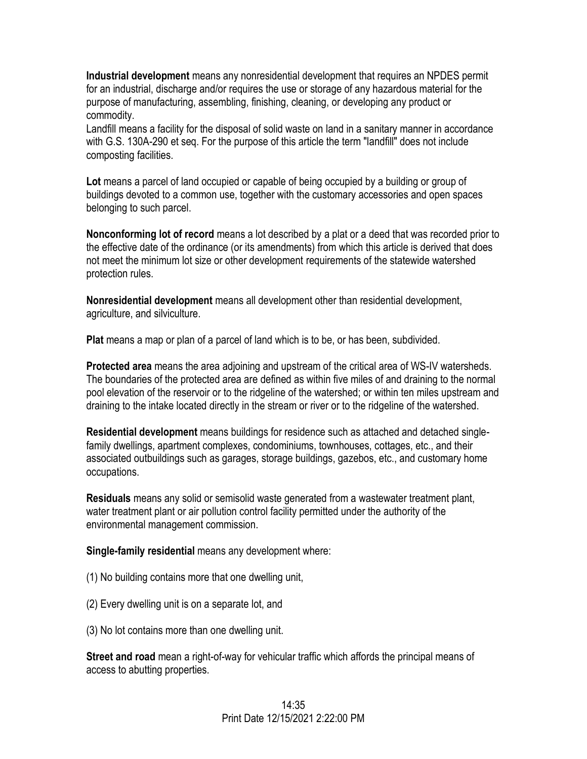**Industrial development** means any nonresidential development that requires an NPDES permit for an industrial, discharge and/or requires the use or storage of any hazardous material for the purpose of manufacturing, assembling, finishing, cleaning, or developing any product or commodity.

Landfill means a facility for the disposal of solid waste on land in a sanitary manner in accordance with G.S. 130A-290 et seq. For the purpose of this article the term "landfill" does not include composting facilities.

**Lot** means a parcel of land occupied or capable of being occupied by a building or group of buildings devoted to a common use, together with the customary accessories and open spaces belonging to such parcel.

**Nonconforming lot of record** means a lot described by a plat or a deed that was recorded prior to the effective date of the ordinance (or its amendments) from which this article is derived that does not meet the minimum lot size or other development requirements of the statewide watershed protection rules.

**Nonresidential development** means all development other than residential development, agriculture, and silviculture.

**Plat** means a map or plan of a parcel of land which is to be, or has been, subdivided.

**Protected area** means the area adjoining and upstream of the critical area of WS-IV watersheds. The boundaries of the protected area are defined as within five miles of and draining to the normal pool elevation of the reservoir or to the ridgeline of the watershed; or within ten miles upstream and draining to the intake located directly in the stream or river or to the ridgeline of the watershed.

**Residential development** means buildings for residence such as attached and detached singlefamily dwellings, apartment complexes, condominiums, townhouses, cottages, etc., and their associated outbuildings such as garages, storage buildings, gazebos, etc., and customary home occupations.

**Residuals** means any solid or semisolid waste generated from a wastewater treatment plant, water treatment plant or air pollution control facility permitted under the authority of the environmental management commission.

**Single-family residential** means any development where:

- (1) No building contains more that one dwelling unit,
- (2) Every dwelling unit is on a separate lot, and
- (3) No lot contains more than one dwelling unit.

**Street and road** mean a right-of-way for vehicular traffic which affords the principal means of access to abutting properties.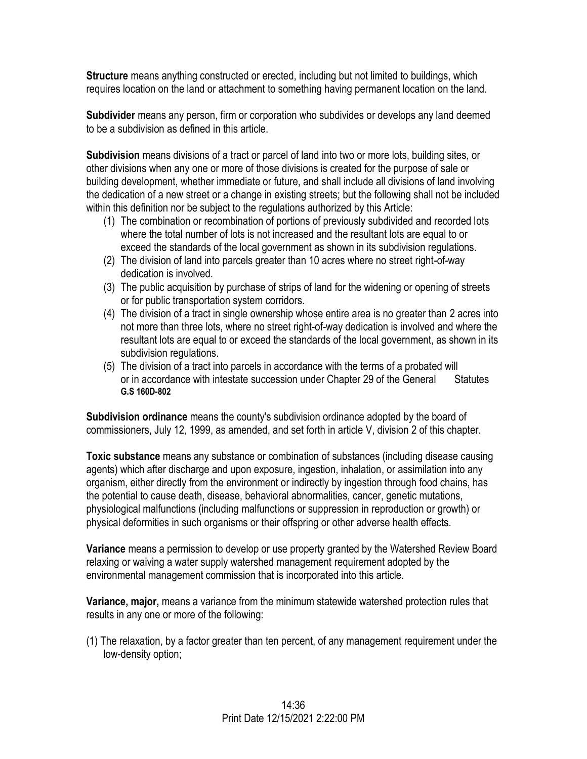**Structure** means anything constructed or erected, including but not limited to buildings, which requires location on the land or attachment to something having permanent location on the land.

**Subdivider** means any person, firm or corporation who subdivides or develops any land deemed to be a subdivision as defined in this article.

**Subdivision** means divisions of a tract or parcel of land into two or more lots, building sites, or other divisions when any one or more of those divisions is created for the purpose of sale or building development, whether immediate or future, and shall include all divisions of land involving the dedication of a new street or a change in existing streets; but the following shall not be included within this definition nor be subject to the regulations authorized by this Article:

- (1) The combination or recombination of portions of previously subdivided and recorded lots where the total number of lots is not increased and the resultant lots are equal to or exceed the standards of the local government as shown in its subdivision regulations.
- (2) The division of land into parcels greater than 10 acres where no street right-of-way dedication is involved.
- (3) The public acquisition by purchase of strips of land for the widening or opening of streets or for public transportation system corridors.
- (4) The division of a tract in single ownership whose entire area is no greater than 2 acres into not more than three lots, where no street right-of-way dedication is involved and where the resultant lots are equal to or exceed the standards of the local government, as shown in its subdivision regulations.
- (5) The division of a tract into parcels in accordance with the terms of a probated will or in accordance with intestate succession under Chapter 29 of the General Statutes **G.S 160D-802**

**Subdivision ordinance** means the county's subdivision ordinance adopted by the board of commissioners, July 12, 1999, as amended, and set forth in article V, division 2 of this chapter.

**Toxic substance** means any substance or combination of substances (including disease causing agents) which after discharge and upon exposure, ingestion, inhalation, or assimilation into any organism, either directly from the environment or indirectly by ingestion through food chains, has the potential to cause death, disease, behavioral abnormalities, cancer, genetic mutations, physiological malfunctions (including malfunctions or suppression in reproduction or growth) or physical deformities in such organisms or their offspring or other adverse health effects.

**Variance** means a permission to develop or use property granted by the Watershed Review Board relaxing or waiving a water supply watershed management requirement adopted by the environmental management commission that is incorporated into this article.

**Variance, major,** means a variance from the minimum statewide watershed protection rules that results in any one or more of the following:

(1) The relaxation, by a factor greater than ten percent, of any management requirement under the low-density option;